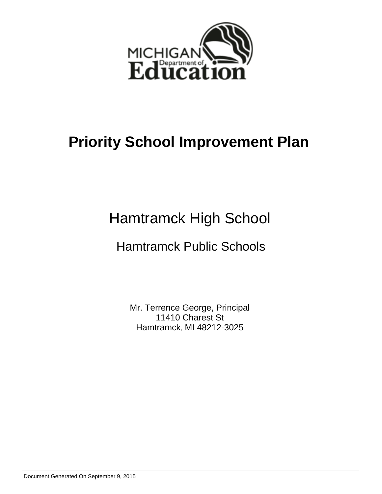

# Hamtramck High School

# Hamtramck Public Schools

Mr. Terrence George, Principal 11410 Charest St Hamtramck, MI 48212-3025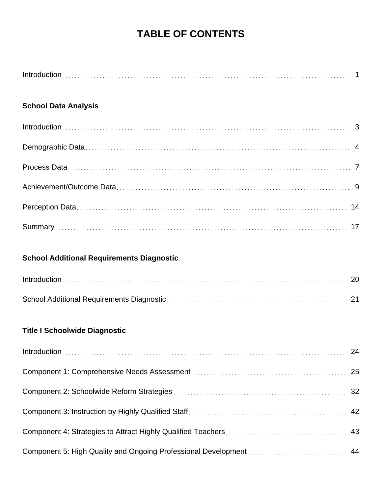# **TABLE OF CONTENTS**

## **School Data Analysis**

## **School Additional Requirements Diagnostic**

## **Title I Schoolwide Diagnostic**

| $Introduction \dots 24$ |  |
|-------------------------|--|
|                         |  |
|                         |  |
|                         |  |
|                         |  |
|                         |  |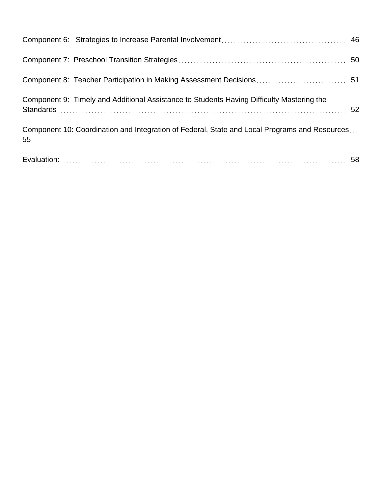|    | Component 9: Timely and Additional Assistance to Students Having Difficulty Mastering the     |  |
|----|-----------------------------------------------------------------------------------------------|--|
| 55 | Component 10: Coordination and Integration of Federal, State and Local Programs and Resources |  |
|    |                                                                                               |  |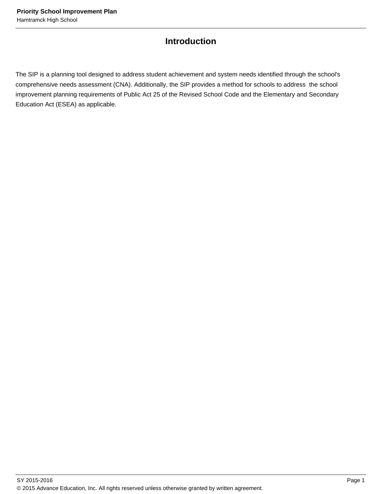# **Introduction**

The SIP is a planning tool designed to address student achievement and system needs identified through the school's comprehensive needs assessment (CNA). Additionally, the SIP provides a method for schools to address the school improvement planning requirements of Public Act 25 of the Revised School Code and the Elementary and Secondary Education Act (ESEA) as applicable.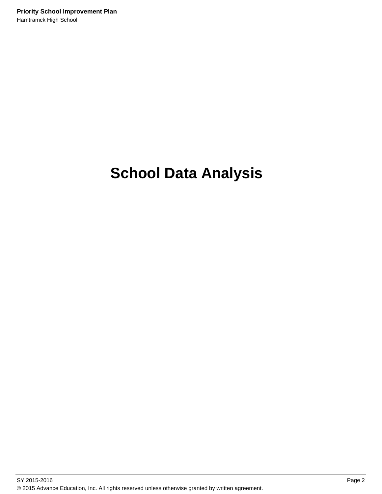# **School Data Analysis**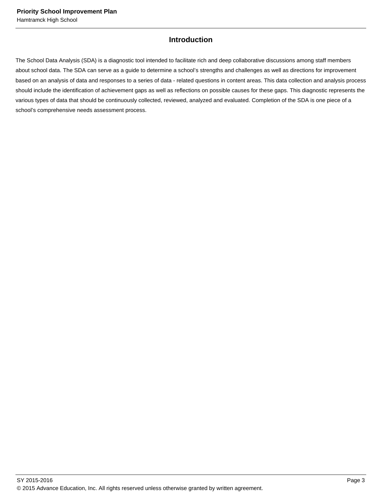## **Introduction**

The School Data Analysis (SDA) is a diagnostic tool intended to facilitate rich and deep collaborative discussions among staff members about school data. The SDA can serve as a guide to determine a school's strengths and challenges as well as directions for improvement based on an analysis of data and responses to a series of data - related questions in content areas. This data collection and analysis process should include the identification of achievement gaps as well as reflections on possible causes for these gaps. This diagnostic represents the various types of data that should be continuously collected, reviewed, analyzed and evaluated. Completion of the SDA is one piece of a school's comprehensive needs assessment process.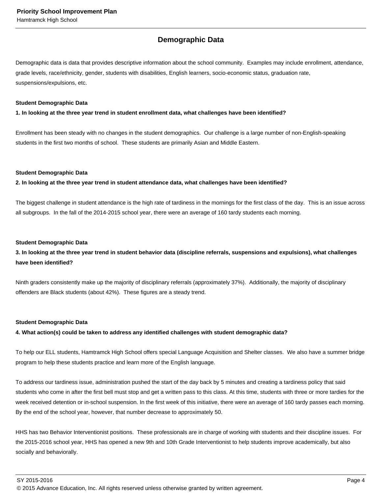## **Demographic Data**

Demographic data is data that provides descriptive information about the school community. Examples may include enrollment, attendance, grade levels, race/ethnicity, gender, students with disabilities, English learners, socio-economic status, graduation rate, suspensions/expulsions, etc.

#### **Student Demographic Data**

**1. In looking at the three year trend in student enrollment data, what challenges have been identified?**

Enrollment has been steady with no changes in the student demographics. Our challenge is a large number of non-English-speaking students in the first two months of school. These students are primarily Asian and Middle Eastern.

#### **Student Demographic Data**

**2. In looking at the three year trend in student attendance data, what challenges have been identified?**

The biggest challenge in student attendance is the high rate of tardiness in the mornings for the first class of the day. This is an issue across all subgroups. In the fall of the 2014-2015 school year, there were an average of 160 tardy students each morning.

#### **Student Demographic Data**

## **3. In looking at the three year trend in student behavior data (discipline referrals, suspensions and expulsions), what challenges have been identified?**

Ninth graders consistently make up the majority of disciplinary referrals (approximately 37%). Additionally, the majority of disciplinary offenders are Black students (about 42%). These figures are a steady trend.

#### **Student Demographic Data**

#### **4. What action(s) could be taken to address any identified challenges with student demographic data?**

To help our ELL students, Hamtramck High School offers special Language Acquisition and Shelter classes. We also have a summer bridge program to help these students practice and learn more of the English language.

To address our tardiness issue, administration pushed the start of the day back by 5 minutes and creating a tardiness policy that said students who come in after the first bell must stop and get a written pass to this class. At this time, students with three or more tardies for the week received detention or in-school suspension. In the first week of this initiative, there were an average of 160 tardy passes each morning. By the end of the school year, however, that number decrease to approximately 50.

HHS has two Behavior Interventionist positions. These professionals are in charge of working with students and their discipline issues. For the 2015-2016 school year, HHS has opened a new 9th and 10th Grade Interventionist to help students improve academically, but also socially and behaviorally.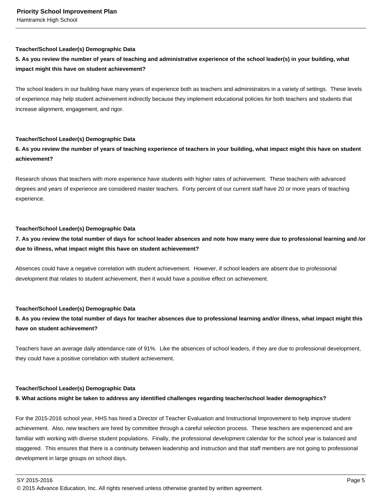#### **Teacher/School Leader(s) Demographic Data**

## **5. As you review the number of years of teaching and administrative experience of the school leader(s) in your building, what impact might this have on student achievement?**

The school leaders in our building have many years of experience both as teachers and administrators in a variety of settings. These levels of experience may help student achievement indirectly because they implement educational policies for both teachers and students that increase alignment, engagement, and rigor.

#### **Teacher/School Leader(s) Demographic Data**

## **6. As you review the number of years of teaching experience of teachers in your building, what impact might this have on student achievement?**

Research shows that teachers with more experience have students with higher rates of achievement. These teachers with advanced degrees and years of experience are considered master teachers. Forty percent of our current staff have 20 or more years of teaching experience.

#### **Teacher/School Leader(s) Demographic Data**

## **7. As you review the total number of days for school leader absences and note how many were due to professional learning and /or due to illness, what impact might this have on student achievement?**

Absences could have a negative correlation with student achievement. However, if school leaders are absent due to professional development that relates to student achievement, then it would have a positive effect on achievement.

#### **Teacher/School Leader(s) Demographic Data**

**8. As you review the total number of days for teacher absences due to professional learning and/or illness, what impact might this have on student achievement?**

Teachers have an average daily attendance rate of 91%. Like the absences of school leaders, if they are due to professional development, they could have a positive correlation with student achievement.

#### **Teacher/School Leader(s) Demographic Data**

#### **9. What actions might be taken to address any identified challenges regarding teacher/school leader demographics?**

For the 2015-2016 school year, HHS has hired a Director of Teacher Evaluation and Instructional Improvement to help improve student achievement. Also, new teachers are hired by committee through a careful selection process. These teachers are experienced and are familiar with working with diverse student populations. Finally, the professional development calendar for the school year is balanced and staggered. This ensures that there is a continuity between leadership and instruction and that staff members are not going to professional development in large groups on school days.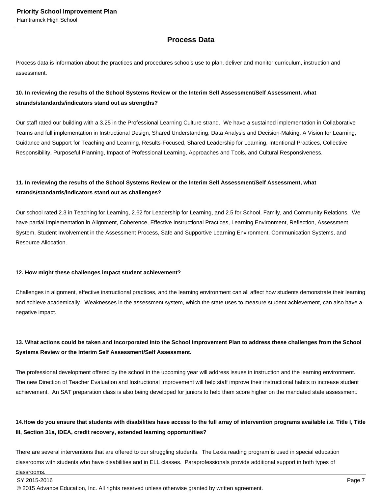## **Process Data**

Process data is information about the practices and procedures schools use to plan, deliver and monitor curriculum, instruction and assessment.

## **10. In reviewing the results of the School Systems Review or the Interim Self Assessment/Self Assessment, what strands/standards/indicators stand out as strengths?**

Our staff rated our building with a 3.25 in the Professional Learning Culture strand. We have a sustained implementation in Collaborative Teams and full implementation in Instructional Design, Shared Understanding, Data Analysis and Decision-Making, A Vision for Learning, Guidance and Support for Teaching and Learning, Results-Focused, Shared Leadership for Learning, Intentional Practices, Collective Responsibility, Purposeful Planning, Impact of Professional Learning, Approaches and Tools, and Cultural Responsiveness.

## **11. In reviewing the results of the School Systems Review or the Interim Self Assessment/Self Assessment, what strands/standards/indicators stand out as challenges?**

Our school rated 2.3 in Teaching for Learning, 2.62 for Leadership for Learning, and 2.5 for School, Family, and Community Relations. We have partial implementation in Alignment, Coherence, Effective Instructional Practices, Learning Environment, Reflection, Assessment System, Student Involvement in the Assessment Process, Safe and Supportive Learning Environment, Communication Systems, and Resource Allocation.

#### **12. How might these challenges impact student achievement?**

Challenges in alignment, effective instructional practices, and the learning environment can all affect how students demonstrate their learning and achieve academically. Weaknesses in the assessment system, which the state uses to measure student achievement, can also have a negative impact.

## **13. What actions could be taken and incorporated into the School Improvement Plan to address these challenges from the School Systems Review or the Interim Self Assessment/Self Assessment.**

The professional development offered by the school in the upcoming year will address issues in instruction and the learning environment. The new Direction of Teacher Evaluation and Instructional Improvement will help staff improve their instructional habits to increase student achievement. An SAT preparation class is also being developed for juniors to help them score higher on the mandated state assessment.

## 14. How do you ensure that students with disabilities have access to the full array of intervention programs available i.e. Title I, Title **III, Section 31a, IDEA, credit recovery, extended learning opportunities?**

There are several interventions that are offered to our struggling students. The Lexia reading program is used in special education classrooms with students who have disabilities and in ELL classes. Paraprofessionals provide additional support in both types of

classrooms.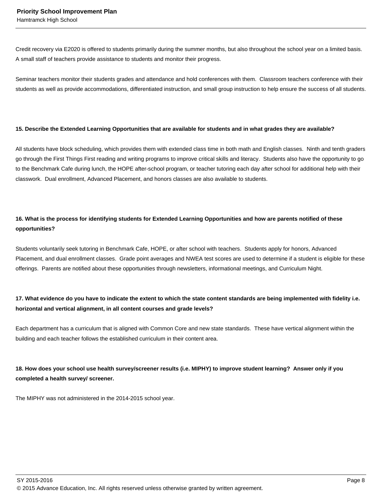Credit recovery via E2020 is offered to students primarily during the summer months, but also throughout the school year on a limited basis. A small staff of teachers provide assistance to students and monitor their progress.

Seminar teachers monitor their students grades and attendance and hold conferences with them. Classroom teachers conference with their students as well as provide accommodations, differentiated instruction, and small group instruction to help ensure the success of all students.

#### **15. Describe the Extended Learning Opportunities that are available for students and in what grades they are available?**

All students have block scheduling, which provides them with extended class time in both math and English classes. Ninth and tenth graders go through the First Things First reading and writing programs to improve critical skills and literacy. Students also have the opportunity to go to the Benchmark Cafe during lunch, the HOPE after-school program, or teacher tutoring each day after school for additional help with their classwork. Dual enrollment, Advanced Placement, and honors classes are also available to students.

## **16. What is the process for identifying students for Extended Learning Opportunities and how are parents notified of these opportunities?**

Students voluntarily seek tutoring in Benchmark Cafe, HOPE, or after school with teachers. Students apply for honors, Advanced Placement, and dual enrollment classes. Grade point averages and NWEA test scores are used to determine if a student is eligible for these offerings. Parents are notified about these opportunities through newsletters, informational meetings, and Curriculum Night.

## **17. What evidence do you have to indicate the extent to which the state content standards are being implemented with fidelity i.e. horizontal and vertical alignment, in all content courses and grade levels?**

Each department has a curriculum that is aligned with Common Core and new state standards. These have vertical alignment within the building and each teacher follows the established curriculum in their content area.

## **18. How does your school use health survey/screener results (i.e. MIPHY) to improve student learning? Answer only if you completed a health survey/ screener.**

The MIPHY was not administered in the 2014-2015 school year.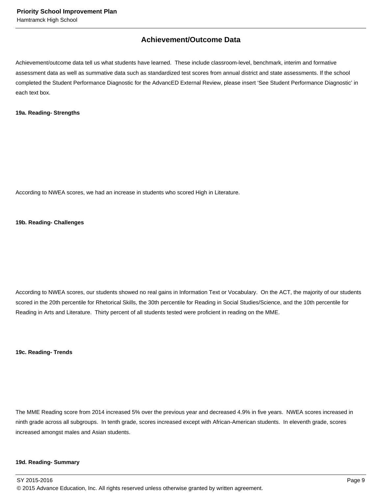## **Achievement/Outcome Data**

Achievement/outcome data tell us what students have learned. These include classroom-level, benchmark, interim and formative assessment data as well as summative data such as standardized test scores from annual district and state assessments. If the school completed the Student Performance Diagnostic for the AdvancED External Review, please insert 'See Student Performance Diagnostic' in each text box.

#### **19a. Reading- Strengths**

According to NWEA scores, we had an increase in students who scored High in Literature.

#### **19b. Reading- Challenges**

According to NWEA scores, our students showed no real gains in Information Text or Vocabulary. On the ACT, the majority of our students scored in the 20th percentile for Rhetorical Skills, the 30th percentile for Reading in Social Studies/Science, and the 10th percentile for Reading in Arts and Literature. Thirty percent of all students tested were proficient in reading on the MME.

**19c. Reading- Trends**

The MME Reading score from 2014 increased 5% over the previous year and decreased 4.9% in five years. NWEA scores increased in ninth grade across all subgroups. In tenth grade, scores increased except with African-American students. In eleventh grade, scores increased amongst males and Asian students.

#### **19d. Reading- Summary**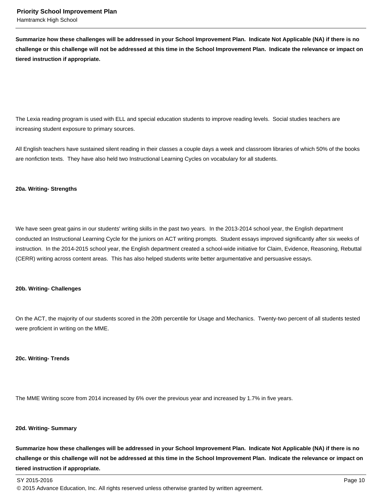**Summarize how these challenges will be addressed in your School Improvement Plan. Indicate Not Applicable (NA) if there is no challenge or this challenge will not be addressed at this time in the School Improvement Plan. Indicate the relevance or impact on tiered instruction if appropriate.**

The Lexia reading program is used with ELL and special education students to improve reading levels. Social studies teachers are increasing student exposure to primary sources.

All English teachers have sustained silent reading in their classes a couple days a week and classroom libraries of which 50% of the books are nonfiction texts. They have also held two Instructional Learning Cycles on vocabulary for all students.

#### **20a. Writing- Strengths**

We have seen great gains in our students' writing skills in the past two years. In the 2013-2014 school year, the English department conducted an Instructional Learning Cycle for the juniors on ACT writing prompts. Student essays improved significantly after six weeks of instruction. In the 2014-2015 school year, the English department created a school-wide initiative for Claim, Evidence, Reasoning, Rebuttal (CERR) writing across content areas. This has also helped students write better argumentative and persuasive essays.

#### **20b. Writing- Challenges**

On the ACT, the majority of our students scored in the 20th percentile for Usage and Mechanics. Twenty-two percent of all students tested were proficient in writing on the MME.

#### **20c. Writing- Trends**

The MME Writing score from 2014 increased by 6% over the previous year and increased by 1.7% in five years.

#### **20d. Writing- Summary**

**Summarize how these challenges will be addressed in your School Improvement Plan. Indicate Not Applicable (NA) if there is no challenge or this challenge will not be addressed at this time in the School Improvement Plan. Indicate the relevance or impact on tiered instruction if appropriate.**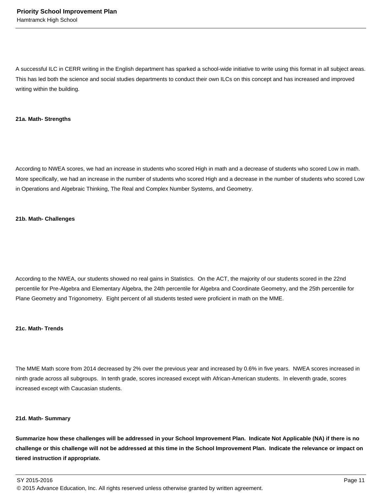A successful ILC in CERR writing in the English department has sparked a school-wide initiative to write using this format in all subject areas. This has led both the science and social studies departments to conduct their own ILCs on this concept and has increased and improved writing within the building.

#### **21a. Math- Strengths**

According to NWEA scores, we had an increase in students who scored High in math and a decrease of students who scored Low in math. More specifically, we had an increase in the number of students who scored High and a decrease in the number of students who scored Low in Operations and Algebraic Thinking, The Real and Complex Number Systems, and Geometry.

#### **21b. Math- Challenges**

According to the NWEA, our students showed no real gains in Statistics. On the ACT, the majority of our students scored in the 22nd percentile for Pre-Algebra and Elementary Algebra, the 24th percentile for Algebra and Coordinate Geometry, and the 25th percentile for Plane Geometry and Trigonometry. Eight percent of all students tested were proficient in math on the MME.

#### **21c. Math- Trends**

The MME Math score from 2014 decreased by 2% over the previous year and increased by 0.6% in five years. NWEA scores increased in ninth grade across all subgroups. In tenth grade, scores increased except with African-American students. In eleventh grade, scores increased except with Caucasian students.

#### **21d. Math- Summary**

**Summarize how these challenges will be addressed in your School Improvement Plan. Indicate Not Applicable (NA) if there is no challenge or this challenge will not be addressed at this time in the School Improvement Plan. Indicate the relevance or impact on tiered instruction if appropriate.**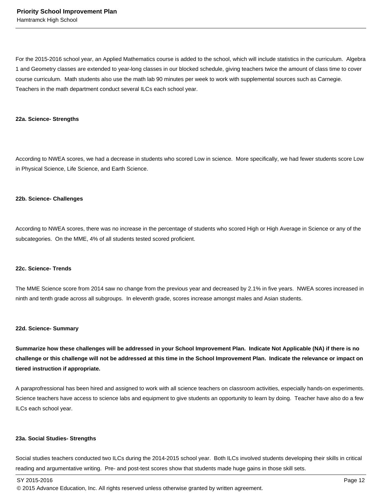For the 2015-2016 school year, an Applied Mathematics course is added to the school, which will include statistics in the curriculum. Algebra 1 and Geometry classes are extended to year-long classes in our blocked schedule, giving teachers twice the amount of class time to cover course curriculum. Math students also use the math lab 90 minutes per week to work with supplemental sources such as Carnegie. Teachers in the math department conduct several ILCs each school year.

#### **22a. Science- Strengths**

According to NWEA scores, we had a decrease in students who scored Low in science. More specifically, we had fewer students score Low in Physical Science, Life Science, and Earth Science.

#### **22b. Science- Challenges**

According to NWEA scores, there was no increase in the percentage of students who scored High or High Average in Science or any of the subcategories. On the MME, 4% of all students tested scored proficient.

#### **22c. Science- Trends**

The MME Science score from 2014 saw no change from the previous year and decreased by 2.1% in five years. NWEA scores increased in ninth and tenth grade across all subgroups. In eleventh grade, scores increase amongst males and Asian students.

#### **22d. Science- Summary**

**Summarize how these challenges will be addressed in your School Improvement Plan. Indicate Not Applicable (NA) if there is no challenge or this challenge will not be addressed at this time in the School Improvement Plan. Indicate the relevance or impact on tiered instruction if appropriate.**

A paraprofressional has been hired and assigned to work with all science teachers on classroom activities, especially hands-on experiments. Science teachers have access to science labs and equipment to give students an opportunity to learn by doing. Teacher have also do a few ILCs each school year.

#### **23a. Social Studies- Strengths**

Social studies teachers conducted two ILCs during the 2014-2015 school year. Both ILCs involved students developing their skills in critical reading and argumentative writing. Pre- and post-test scores show that students made huge gains in those skill sets.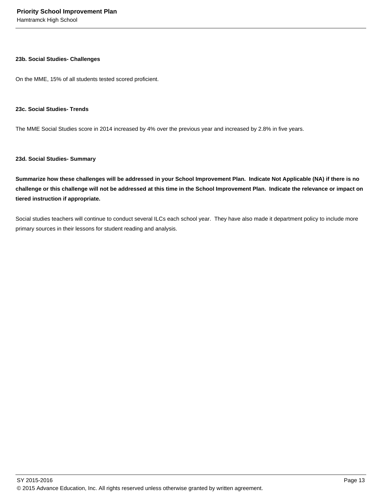#### **23b. Social Studies- Challenges**

On the MME, 15% of all students tested scored proficient.

#### **23c. Social Studies- Trends**

The MME Social Studies score in 2014 increased by 4% over the previous year and increased by 2.8% in five years.

#### **23d. Social Studies- Summary**

**Summarize how these challenges will be addressed in your School Improvement Plan. Indicate Not Applicable (NA) if there is no challenge or this challenge will not be addressed at this time in the School Improvement Plan. Indicate the relevance or impact on tiered instruction if appropriate.**

Social studies teachers will continue to conduct several ILCs each school year. They have also made it department policy to include more primary sources in their lessons for student reading and analysis.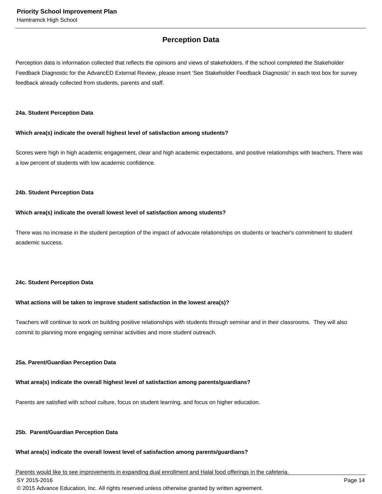## **Perception Data**

Perception data is information collected that reflects the opinions and views of stakeholders. If the school completed the Stakeholder Feedback Diagnostic for the AdvancED External Review, please insert 'See Stakeholder Feedback Diagnostic' in each text box for survey feedback already collected from students, parents and staff.

#### **24a. Student Perception Data**

#### **Which area(s) indicate the overall highest level of satisfaction among students?**

Scores were high in high academic engagement, clear and high academic expectations, and positive relationships with teachers. There was a low percent of students with low academic confidence.

#### **24b. Student Perception Data**

#### **Which area(s) indicate the overall lowest level of satisfaction among students?**

There was no increase in the student perception of the impact of advocate relationships on students or teacher's commitment to student academic success.

#### **24c. Student Perception Data**

## **What actions will be taken to improve student satisfaction in the lowest area(s)?**

Teachers will continue to work on building positive relationships with students through seminar and in their classrooms. They will also commit to planning more engaging seminar activities and more student outreach.

## **25a. Parent/Guardian Perception Data**

## **What area(s) indicate the overall highest level of satisfaction among parents/guardians?**

Parents are satisfied with school culture, focus on student learning, and focus on higher education.

## **25b. Parent/Guardian Perception Data**

## **What area(s) indicate the overall lowest level of satisfaction among parents/guardians?**

Parents would like to see improvements in expanding dual enrollment and Halal food offerings in the cafeteria.

SY 2015-2016 Page 14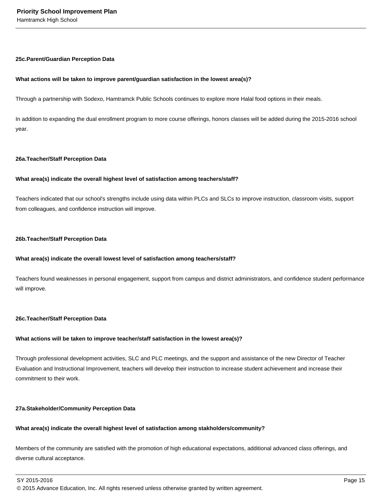#### **25c. Parent/Guardian Perception Data**

#### **What actions will be taken to improve parent/guardian satisfaction in the lowest area(s)?**

Through a partnership with Sodexo, Hamtramck Public Schools continues to explore more Halal food options in their meals.

In addition to expanding the dual enrollment program to more course offerings, honors classes will be added during the 2015-2016 school year.

#### **26a. Teacher/Staff Perception Data**

#### **What area(s) indicate the overall highest level of satisfaction among teachers/staff?**

Teachers indicated that our school's strengths include using data within PLCs and SLCs to improve instruction, classroom visits, support from colleagues, and confidence instruction will improve.

#### **26b. Teacher/Staff Perception Data**

#### **What area(s) indicate the overall lowest level of satisfaction among teachers/staff?**

Teachers found weaknesses in personal engagement, support from campus and district administrators, and confidence student performance will improve.

#### **26c. Teacher/Staff Perception Data**

#### **What actions will be taken to improve teacher/staff satisfaction in the lowest area(s)?**

Through professional development activities, SLC and PLC meetings, and the support and assistance of the new Director of Teacher Evaluation and Instructional Improvement, teachers will develop their instruction to increase student achievement and increase their commitment to their work.

#### **27a. Stakeholder/Community Perception Data**

## **What area(s) indicate the overall highest level of satisfaction among stakholders/community?**

Members of the community are satisfied with the promotion of high educational expectations, additional advanced class offerings, and diverse cultural acceptance.

 $\,$  SY 2015-2016  $\,$  Page 15  $\,$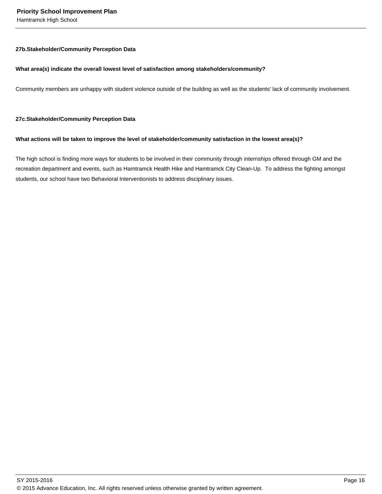#### **27b. Stakeholder/Community Perception Data**

#### **What area(s) indicate the overall lowest level of satisfaction among stakeholders/community?**

Community members are unhappy with student violence outside of the building as well as the students' lack of community involvement.

#### **27c. Stakeholder/Community Perception Data**

#### **What actions will be taken to improve the level of stakeholder/community satisfaction in the lowest area(s)?**

The high school is finding more ways for students to be involved in their community through internships offered through GM and the recreation department and events, such as Hamtramck Health Hike and Hamtramck City Clean-Up. To address the fighting amongst students, our school have two Behavioral Interventionists to address disciplinary issues.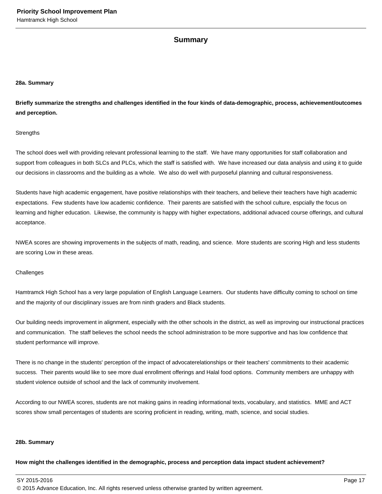## **Summary**

#### **28a. Summary**

**Briefly summarize the strengths and challenges identified in the four kinds of data-demographic, process, achievement/outcomes and perception.**

#### **Strengths**

The school does well with providing relevant professional learning to the staff. We have many opportunities for staff collaboration and support from colleagues in both SLCs and PLCs, which the staff is satisfied with. We have increased our data analysis and using it to guide our decisions in classrooms and the building as a whole. We also do well with purposeful planning and cultural responsiveness.

Students have high academic engagement, have positive relationships with their teachers, and believe their teachers have high academic expectations. Few students have low academic confidence. Their parents are satisfied with the school culture, espcially the focus on learning and higher education. Likewise, the community is happy with higher expectations, additional advaced course offerings, and cultural acceptance.

NWEA scores are showing improvements in the subjects of math, reading, and science. More students are scoring High and less students are scoring Low in these areas.

#### **Challenges**

Hamtramck High School has a very large population of English Language Learners. Our students have difficulty coming to school on time and the majority of our disciplinary issues are from ninth graders and Black students.

Our building needs improvement in alignment, especially with the other schools in the district, as well as improving our instructional practices and communication. The staff believes the school needs the school administration to be more supportive and has low confidence that student performance will improve.

There is no change in the students' perception of the impact of advocaterelationships or their teachers' commitments to their academic success. Their parents would like to see more dual enrollment offerings and Halal food options. Community members are unhappy with student violence outside of school and the lack of community involvement.

According to our NWEA scores, students are not making gains in reading informational texts, vocabulary, and statistics. MME and ACT scores show small percentages of students are scoring proficient in reading, writing, math, science, and social studies.

#### **28b. Summary**

**How might the challenges identified in the demographic, process and perception data impact student achievement?**

SY 2015-2016 Page 17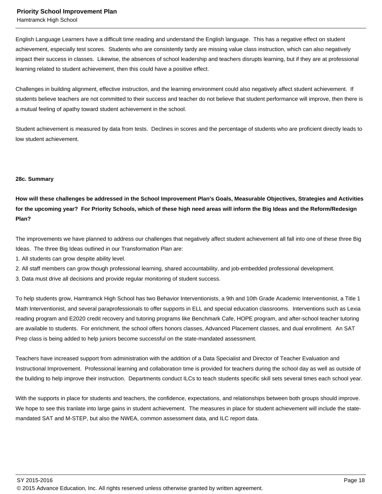Hamtramck High School

English Language Learners have a difficult time reading and understand the English language. This has a negative effect on student achievement, especially test scores. Students who are consistently tardy are missing value class instruction, which can also negatively impact their success in classes. Likewise, the absences of school leadership and teachers disrupts learning, but if they are at professional learning related to student achievement, then this could have a positive effect.

Challenges in building alignment, effective instruction, and the learning environment could also negatively affect student achievement. If students believe teachers are not committed to their success and teacher do not believe that student performance will improve, then there is a mutual feeling of apathy toward student achievement in the school.

Student achievement is measured by data from tests. Declines in scores and the percentage of students who are proficient directly leads to low student achievement.

#### **28c. Summary**

**How will these challenges be addressed in the School Improvement Plan's Goals, Measurable Objectives, Strategies and Activities for the upcoming year? For Priority Schools, which of these high need areas will inform the Big Ideas and the Reform/Redesign Plan?**

The improvements we have planned to address our challenges that negatively affect student achievement all fall into one of these three Big Ideas. The three Big Ideas outlined in our Transformation Plan are:

1. All students can grow despite ability level.

2. All staff members can grow though professional learning, shared accountability, and job-embedded professional development.

3. Data must drive all decisions and provide regular monitoring of student success.

To help students grow, Hamtramck High School has two Behavior Interventionists, a 9th and 10th Grade Academic Interventionist, a Title 1 Math Interventionist, and several paraprofessionals to offer supports in ELL and special education classrooms. Interventions such as Lexia reading program and E2020 credit recovery and tutoring programs like Benchmark Cafe, HOPE program, and after-school teacher tutoring are available to students. For enrichment, the school offers honors classes, Advanced Placement classes, and dual enrollment. An SAT Prep class is being added to help juniors become successful on the state-mandated assessment.

Teachers have increased support from administration with the addition of a Data Specialist and Director of Teacher Evaluation and Instructional Improvement. Professional learning and collaboration time is provided for teachers during the school day as well as outside of the building to help improve their instruction. Departments conduct ILCs to teach students specific skill sets several times each school year.

With the supports in place for students and teachers, the confidence, expectations, and relationships between both groups should improve. We hope to see this tranlate into large gains in student achievement. The measures in place for student achievement will include the statemandated SAT and M-STEP, but also the NWEA, common assessment data, and ILC report data.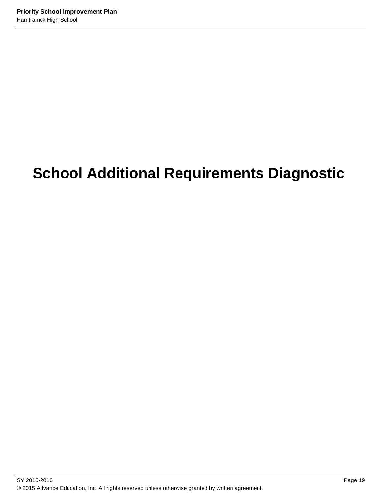# **School Additional Requirements Diagnostic**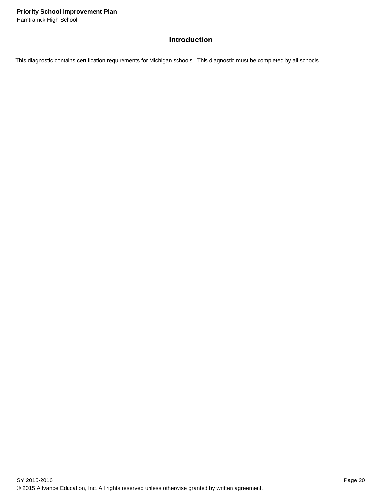## **Introduction**

This diagnostic contains certification requirements for Michigan schools. This diagnostic must be completed by all schools.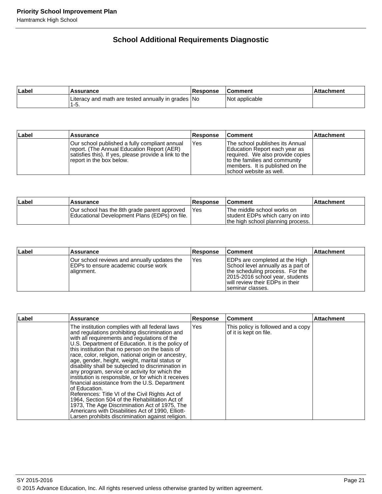## **School Additional Requirements Diagnostic**

| ∣Label | <b>Assurance</b>                                             | Response | l Comment      | Attachment |
|--------|--------------------------------------------------------------|----------|----------------|------------|
|        | Literacy and math are tested annually in grades   No<br>1-5. |          | Not applicable |            |

| ∣Label | Assurance                                                                                                                                                                        | <b>Response</b> | ∣Comment                                                                                                                                                                                             | <b>Attachment</b> |
|--------|----------------------------------------------------------------------------------------------------------------------------------------------------------------------------------|-----------------|------------------------------------------------------------------------------------------------------------------------------------------------------------------------------------------------------|-------------------|
|        | Our school published a fully compliant annual<br>report. (The Annual Education Report (AER)<br>satisfies this). If yes, please provide a link to the<br>report in the box below. | Yes             | The school publishes its Annual<br>Education Report each year as<br>required. We also provide copies<br>to the families and community<br>members. It is published on the<br>Ischool website as well. |                   |

| Label | <b>Assurance</b>                                                                              | <b>Response</b> | <b>Comment</b>                                                                                      | <b>Attachment</b> |
|-------|-----------------------------------------------------------------------------------------------|-----------------|-----------------------------------------------------------------------------------------------------|-------------------|
|       | Our school has the 8th grade parent approved<br>Educational Development Plans (EDPs) on file. | <b>IYes</b>     | The middle school works on<br>student EDPs which carry on into<br>the high school planning process. |                   |

| Label | Assurance                                                                                          | <b>Response</b> | <b>Comment</b>                                                                                                                                                                                            | <b>Attachment</b> |
|-------|----------------------------------------------------------------------------------------------------|-----------------|-----------------------------------------------------------------------------------------------------------------------------------------------------------------------------------------------------------|-------------------|
|       | Our school reviews and annually updates the<br>IEDPs to ensure academic course work<br> alignment. | 'Yes            | <b>EDPs are completed at the High</b><br>School level annually as a part of<br>the scheduling process. For the<br>2015-2016 school year, students<br>will review their EDPs in their<br>Iseminar classes. |                   |

| Label | <b>Assurance</b>                                                                                                                                                                                                                                                                                                                                                                                                                                                                                                                                                                                                                                                                                                                                                                                                                                                     | Response | Comment                                                      | <b>Attachment</b> |
|-------|----------------------------------------------------------------------------------------------------------------------------------------------------------------------------------------------------------------------------------------------------------------------------------------------------------------------------------------------------------------------------------------------------------------------------------------------------------------------------------------------------------------------------------------------------------------------------------------------------------------------------------------------------------------------------------------------------------------------------------------------------------------------------------------------------------------------------------------------------------------------|----------|--------------------------------------------------------------|-------------------|
|       | The institution complies with all federal laws<br>and regulations prohibiting discrimination and<br>with all requirements and regulations of the<br>U.S. Department of Education. It is the policy of<br>this institution that no person on the basis of<br>race, color, religion, national origin or ancestry,<br>age, gender, height, weight, marital status or<br>disability shall be subjected to discrimination in<br>any program, service or activity for which the<br>institution is responsible, or for which it receives<br>financial assistance from the U.S. Department<br>lof Education.<br>References: Title VI of the Civil Rights Act of<br>1964, Section 504 of the Rehabilitation Act of<br>1973, The Age Discrimination Act of 1975, The<br>Americans with Disabilities Act of 1990, Elliott-<br>Larsen prohibits discrimination against religion. | Yes      | This policy is followed and a copy<br>of it is kept on file. |                   |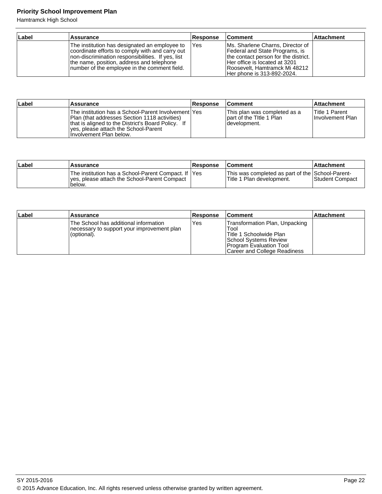Hamtramck High School

| <b>Label</b> | <b>Assurance</b>                                                                                                                                                                                                                                     | <b>Response</b> | <b>Comment</b>                                                                                                                                                                                               | <b>Attachment</b> |
|--------------|------------------------------------------------------------------------------------------------------------------------------------------------------------------------------------------------------------------------------------------------------|-----------------|--------------------------------------------------------------------------------------------------------------------------------------------------------------------------------------------------------------|-------------------|
|              | The institution has designated an employee to<br>coordinate efforts to comply with and carry out<br>Inon-discrimination responsibilities. If yes, list<br>the name, position, address and telephone<br>Inumber of the employee in the comment field. | <b>IYes</b>     | Ms. Sharlene Charns, Director of<br>Federal and State Programs, is<br>the contact person for the district.<br>lHer office is located at 3201<br> Roosevelt, Hamtramck Mi 48212<br>Her phone is 313-892-2024. |                   |

| Label | Assurance                                                                                                                                                                                                                       | <b>Response</b> | ⊺Comment                                                                   | <b>Attachment</b>                         |
|-------|---------------------------------------------------------------------------------------------------------------------------------------------------------------------------------------------------------------------------------|-----------------|----------------------------------------------------------------------------|-------------------------------------------|
|       | The institution has a School-Parent Involvement lYes<br>Plan (that addresses Section 1118 activities)<br>that is aligned to the District's Board Policy. If<br>Ives, please attach the School-Parent<br>Involvement Plan below. |                 | This plan was completed as a<br>lpart of the Title 1 Plan<br>Idevelopment. | <b>Title 1 Parent</b><br>Involvement Plan |

| ∣Label | Assurance                                                                                                        | Response | <b>Comment</b>                                                                 | <b>Attachment</b> |
|--------|------------------------------------------------------------------------------------------------------------------|----------|--------------------------------------------------------------------------------|-------------------|
|        | The institution has a School-Parent Compact. If  Yes<br>lyes, please attach the School-Parent Compact<br>'below. |          | This was completed as part of the School-Parent-<br>lTitle 1 Plan development. | Student Compact   |

| ∣Label | <b>Assurance</b>                                                                                   | <b>Response</b> | ∣Comment                                                                                                                                              | <b>Attachment</b> |
|--------|----------------------------------------------------------------------------------------------------|-----------------|-------------------------------------------------------------------------------------------------------------------------------------------------------|-------------------|
|        | The School has additional information<br>necessary to support your improvement plan<br>(optional). | Yes             | Transformation Plan, Unpacking<br>Tool<br>Title 1 Schoolwide Plan<br>School Systems Review<br>Program Evaluation Tool<br>Career and College Readiness |                   |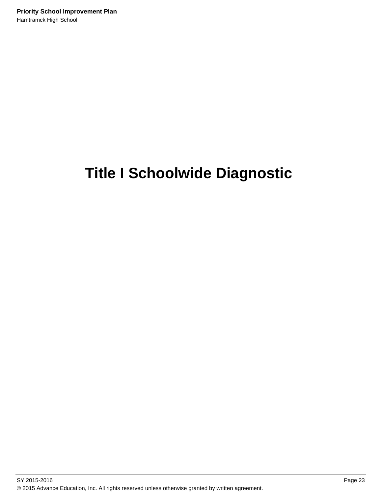# **Title I Schoolwide Diagnostic**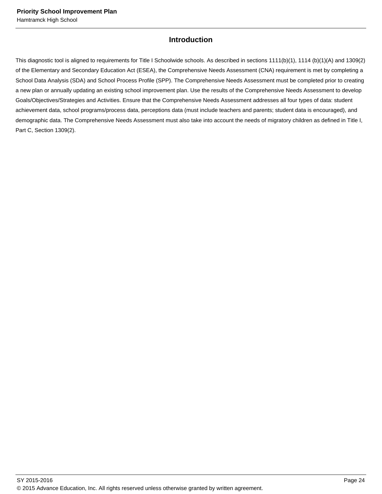## **Introduction**

This diagnostic tool is aligned to requirements for Title I Schoolwide schools. As described in sections 1111(b)(1), 1114 (b)(1)(A) and 1309(2) of the Elementary and Secondary Education Act (ESEA), the Comprehensive Needs Assessment (CNA) requirement is met by completing a School Data Analysis (SDA) and School Process Profile (SPP). The Comprehensive Needs Assessment must be completed prior to creating a new plan or annually updating an existing school improvement plan. Use the results of the Comprehensive Needs Assessment to develop Goals/Objectives/Strategies and Activities. Ensure that the Comprehensive Needs Assessment addresses all four types of data: student achievement data, school programs/process data, perceptions data (must include teachers and parents; student data is encouraged), and demographic data. The Comprehensive Needs Assessment must also take into account the needs of migratory children as defined in Title I, Part C, Section 1309(2).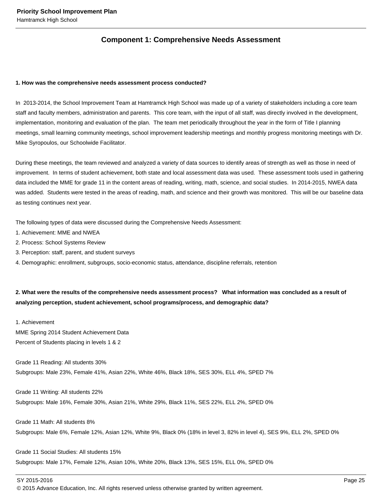## **Component 1: Comprehensive Needs Assessment**

#### **1. How was the comprehensive needs assessment process conducted?**

In 2013-2014, the School Improvement Team at Hamtramck High School was made up of a variety of stakeholders including a core team staff and faculty members, administration and parents. This core team, with the input of all staff, was directly involved in the development, implementation, monitoring and evaluation of the plan. The team met periodically throughout the year in the form of Title I planning meetings, small learning community meetings, school improvement leadership meetings and monthly progress monitoring meetings with Dr. Mike Syropoulos, our Schoolwide Facilitator.

During these meetings, the team reviewed and analyzed a variety of data sources to identify areas of strength as well as those in need of improvement. In terms of student achievement, both state and local assessment data was used. These assessment tools used in gathering data included the MME for grade 11 in the content areas of reading, writing, math, science, and social studies. In 2014-2015, NWEA data was added. Students were tested in the areas of reading, math, and science and their growth was monitored. This will be our baseline data as testing continues next year.

The following types of data were discussed during the Comprehensive Needs Assessment:

- 1. Achievement: MME and NWEA
- 2. Process: School Systems Review
- 3. Perception: staff, parent, and student surveys
- 4. Demographic: enrollment, subgroups, socio-economic status, attendance, discipline referrals, retention

## **2. What were the results of the comprehensive needs assessment process? What information was concluded as a result of analyzing perception, student achievement, school programs/process, and demographic data?**

1. Achievement

MME Spring 2014 Student Achievement Data Percent of Students placing in levels 1 & 2

Grade 11 Reading: All students 30% Subgroups: Male 23%, Female 41%, Asian 22%, White 46%, Black 18%, SES 30%, ELL 4%, SPED 7%

Grade 11 Writing: All students 22% Subgroups: Male 16%, Female 30%, Asian 21%, White 29%, Black 11%, SES 22%, ELL 2%, SPED 0%

Grade 11 Math: All students 8% Subgroups: Male 6%, Female 12%, Asian 12%, White 9%, Black 0% (18% in level 3, 82% in level 4), SES 9%, ELL 2%, SPED 0%

Grade 11 Social Studies: All students 15% Subgroups: Male 17%, Female 12%, Asian 10%, White 20%, Black 13%, SES 15%, ELL 0%, SPED 0%

SY 2015-2016 Page 25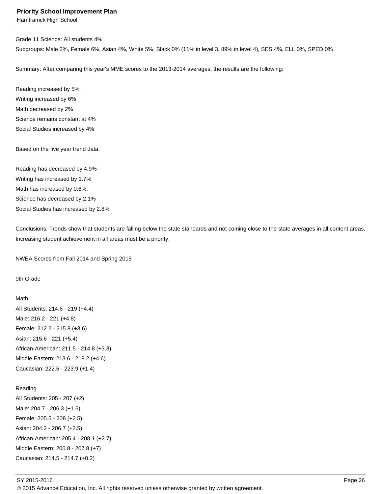Hamtramck High School

Grade 11 Science: All students 4%

Subgroups: Male 2%, Female 6%, Asian 4%, White 5%, Black 0% (11% in level 3, 89% in level 4), SES 4%, ELL 0%, SPED 0%

Summary: After comparing this year's MME scores to the 2013-2014 averages, the results are the following:

Reading increased by 5% Writing increased by 6% Math decreased by 2% Science remains constant at 4% Social Studies increased by 4%

Based on the five year trend data:

Reading has decreased by 4.9% Writing has increased by 1.7% Math has increased by 0.6%. Science has decreased by 2.1% Social Studies has increased by 2.8%

Conclusions: Trends show that students are falling below the state standards and not coming close to the state averages in all content areas. Increasing student achievement in all areas must be a priority.

NWEA Scores from Fall 2014 and Spring 2015

9th Grade

```
Math
All Students: 214.6 - 219 (+4.4)
Male: 216.2 - 221 (+4.8)
Female: 212.2 - 215.8 (+3.6)
Asian: 215.6 - 221 (+5.4)
African-American: 211.5 - 214.8 (+3.3)
Middle Eastern: 213.6 - 218.2 (+4.6)
Caucasian: 222.5 - 223.9 (+1.4)
```
Reading All Students: 205 - 207 (+2) Male: 204.7 - 206.3 (+1.6) Female: 205.5 - 208 (+2.5) Asian: 204.2 - 206.7 (+2.5) African-American: 205.4 - 208.1 (+2.7) Middle Eastern: 200.8 - 207.8 (+7) Caucasian: 214.5 - 214.7 (+0.2)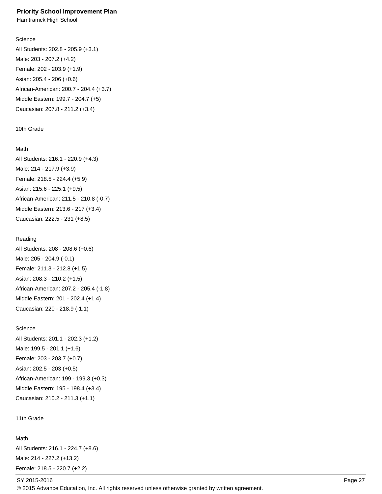Hamtramck High School

#### **Science**

All Students: 202.8 - 205.9 (+3.1) Male: 203 - 207.2 (+4.2) Female: 202 - 203.9 (+1.9) Asian: 205.4 - 206 (+0.6) African-American: 200.7 - 204.4 (+3.7) Middle Eastern: 199.7 - 204.7 (+5) Caucasian: 207.8 - 211.2 (+3.4)

#### 10th Grade

#### Math

All Students: 216.1 - 220.9 (+4.3) Male: 214 - 217.9 (+3.9) Female: 218.5 - 224.4 (+5.9) Asian: 215.6 - 225.1 (+9.5) African-American: 211.5 - 210.8 (-0.7) Middle Eastern: 213.6 - 217 (+3.4) Caucasian: 222.5 - 231 (+8.5)

## Reading

All Students: 208 - 208.6 (+0.6) Male: 205 - 204.9 (-0.1) Female: 211.3 - 212.8 (+1.5) Asian: 208.3 - 210.2 (+1.5) African-American: 207.2 - 205.4 (-1.8) Middle Eastern: 201 - 202.4 (+1.4) Caucasian: 220 - 218.9 (-1.1)

# Science

All Students: 201.1 - 202.3 (+1.2) Male: 199.5 - 201.1 (+1.6) Female: 203 - 203.7 (+0.7) Asian: 202.5 - 203 (+0.5) African-American: 199 - 199.3 (+0.3) Middle Eastern: 195 - 198.4 (+3.4) Caucasian: 210.2 - 211.3 (+1.1)

11th Grade

## Math

All Students: 216.1 - 224.7 (+8.6) Male: 214 - 227.2 (+13.2) Female: 218.5 - 220.7 (+2.2)

SY 2015-2016 Page 27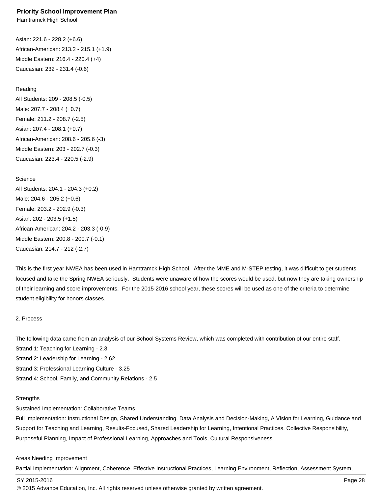Asian: 221.6 - 228.2 (+6.6) African-American: 213.2 - 215.1 (+1.9) Middle Eastern: 216.4 - 220.4 (+4) Caucasian: 232 - 231.4 (-0.6)

Reading All Students: 209 - 208.5 (-0.5) Male: 207.7 - 208.4 (+0.7) Female: 211.2 - 208.7 (-2.5) Asian: 207.4 - 208.1 (+0.7) African-American: 208.6 - 205.6 (-3) Middle Eastern: 203 - 202.7 (-0.3) Caucasian: 223.4 - 220.5 (-2.9)

**Science** All Students: 204.1 - 204.3 (+0.2) Male: 204.6 - 205.2 (+0.6) Female: 203.2 - 202.9 (-0.3) Asian: 202 - 203.5 (+1.5) African-American: 204.2 - 203.3 (-0.9) Middle Eastern: 200.8 - 200.7 (-0.1) Caucasian: 214.7 - 212 (-2.7)

This is the first year NWEA has been used in Hamtramck High School. After the MME and M-STEP testing, it was difficult to get students focused and take the Spring NWEA seriously. Students were unaware of how the scores would be used, but now they are taking ownership of their learning and score improvements. For the 2015-2016 school year, these scores will be used as one of the criteria to determine student eligibility for honors classes.

#### 2. Process

The following data came from an analysis of our School Systems Review, which was completed with contribution of our entire staff. Strand 1: Teaching for Learning - 2.3 Strand 2: Leadership for Learning - 2.62 Strand 3: Professional Learning Culture - 3.25 Strand 4: School, Family, and Community Relations - 2.5

#### **Strengths**

Sustained Implementation: Collaborative Teams

Full Implementation: Instructional Design, Shared Understanding, Data Analysis and Decision-Making, A Vision for Learning, Guidance and Support for Teaching and Learning, Results-Focused, Shared Leadership for Learning, Intentional Practices, Collective Responsibility, Purposeful Planning, Impact of Professional Learning, Approaches and Tools, Cultural Responsiveness

#### Areas Needing Improvement

Partial Implementation: Alignment, Coherence, Effective Instructional Practices, Learning Environment, Reflection, Assessment System,

SY 2015-2016 Page 28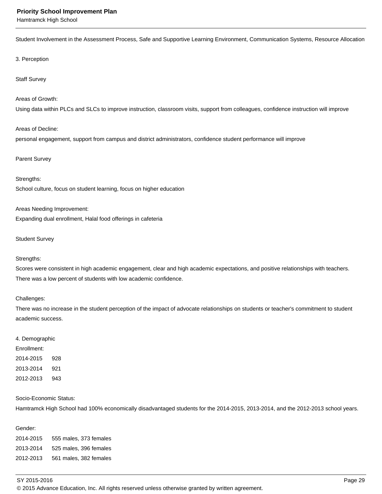Hamtramck High School

Student Involvement in the Assessment Process, Safe and Supportive Learning Environment, Communication Systems, Resource Allocation

#### 3. Perception

#### Staff Survey

#### Areas of Growth:

Using data within PLCs and SLCs to improve instruction, classroom visits, support from colleagues, confidence instruction will improve

#### Areas of Decline:

personal engagement, support from campus and district administrators, confidence student performance will improve

#### Parent Survey

#### Strengths:

School culture, focus on student learning, focus on higher education

Areas Needing Improvement: Expanding dual enrollment, Halal food offerings in cafeteria

#### Student Survey

#### Strengths:

Scores were consistent in high academic engagement, clear and high academic expectations, and positive relationships with teachers. There was a low percent of students with low academic confidence.

#### Challenges:

There was no increase in the student perception of the impact of advocate relationships on students or teacher's commitment to student academic success.

#### 4. Demographic

Enrollment: 2014-2015 928 2013-2014 921 2012-2013 943

#### Socio-Economic Status:

Hamtramck High School had 100% economically disadvantaged students for the 2014-2015, 2013-2014, and the 2012-2013 school years.

#### Gender:

2014-2015 555 males, 373 females 2013-2014 525 males, 396 females 2012-2013 561 males, 382 females

SY 2015-2016 Page 29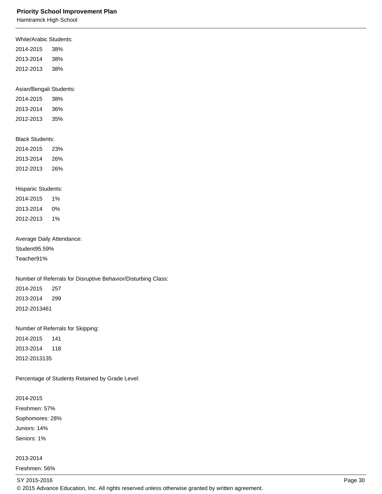Hamtramck High School

| <b>White/Arabic Students:</b> |                                                               |
|-------------------------------|---------------------------------------------------------------|
| 2014-2015                     | 38%                                                           |
| 2013-2014                     | 38%                                                           |
| 2012-2013                     | 38%                                                           |
|                               |                                                               |
| Asian/Bengali Students:       |                                                               |
| 2014-2015                     | 38%                                                           |
| 2013-2014                     | 36%                                                           |
| 2012-2013                     | 35%                                                           |
|                               |                                                               |
| <b>Black Students:</b>        |                                                               |
| 2014-2015                     | 23%                                                           |
| 2013-2014                     | 26%                                                           |
| 2012-2013 26%                 |                                                               |
|                               |                                                               |
| Hispanic Students:            |                                                               |
| 2014-2015                     | 1%                                                            |
| 2013-2014                     | 0%                                                            |
| 2012-2013 1%                  |                                                               |
|                               |                                                               |
|                               | Average Daily Attendance:                                     |
| Student 95.59%                |                                                               |
| Teacher 91%                   |                                                               |
|                               |                                                               |
|                               | Number of Referrals for Disruptive Behavior/Disturbing Class: |
| 2014-2015                     | 257                                                           |
| 2013-2014                     | 299                                                           |
| 2012-2013 461                 |                                                               |
|                               |                                                               |
|                               | Number of Referrals for Skipping:                             |
| 2014-2015                     | 141                                                           |
| 2013-2014                     | 118                                                           |
| 2012-2013 135                 |                                                               |
|                               | Percentage of Students Retained by Grade Level:               |
|                               |                                                               |
| 2014-2015                     |                                                               |
|                               |                                                               |

Freshmen: 57%

Sophomores: 28%

Juniors: 14% Seniors: 1%

#### 2013-2014

Freshmen: 56%

## SY 2015-2016 **Page 30**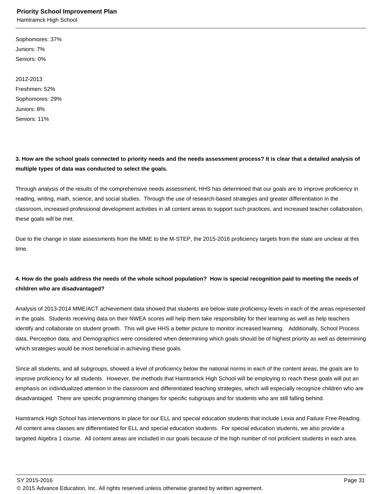Hamtramck High School

Sophomores: 37% Juniors: 7% Seniors: 0%

2012-2013 Freshmen: 52% Sophomores: 29% Juniors: 8% Seniors: 11%

**3. How are the school goals connected to priority needs and the needs assessment process? It is clear that a detailed analysis of multiple types of data was conducted to select the goals.**

Through analysis of the results of the comprehensive needs assessment, HHS has determined that our goals are to improve proficiency in reading, writing, math, science, and social studies. Through the use of research-based strategies and greater differentiation in the classroom, increased professional development activities in all content areas to support such practices, and increased teacher collaboration, these goals will be met.

Due to the change in state assessments from the MME to the M-STEP, the 2015-2016 proficiency targets from the state are unclear at this time.

## **4. How do the goals address the needs of the whole school population? How is special recognition paid to meeting the needs of children who are disadvantaged?**

Analysis of 2013-2014 MME/ACT achievement data showed that students are below state proficiency levels in each of the areas represented in the goals. Students receiving data on their NWEA scores will help them take responsibility for their learning as well as help teachers identify and collaborate on student growth. This will give HHS a better picture to monitor increased learning. Additionally, School Process data, Perception data, and Demographics were considered when determining which goals should be of highest priority as well as determining which strategies would be most beneficial in achieving these goals.

Since all students, and all subgroups, showed a level of proficiency below the national norms in each of the content areas, the goals are to improve proficiency for all students. However, the methods that Hamtramck High School will be employing to reach these goals will put an emphasis on individualized attention in the classroom and differentiated teaching strategies, which will especially recognize children who are disadvantaged. There are specific programming changes for specific subgroups and for students who are still falling behind.

Hamtramck High School has interventions in place for our ELL and special education students that include Lexia and Failure Free Reading. All content area classes are differentiated for ELL and special education students. For special education students, we also provide a targeted Algebra 1 course. All content areas are included in our goals because of the high number of not proficient students in each area.

SY 2015-2016 Page 31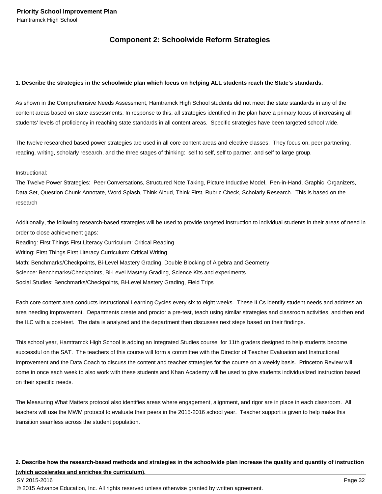## **Component 2: Schoolwide Reform Strategies**

#### **1. Describe the strategies in the schoolwide plan which focus on helping ALL students reach the State's standards.**

As shown in the Comprehensive Needs Assessment, Hamtramck High School students did not meet the state standards in any of the content areas based on state assessments. In response to this, all strategies identified in the plan have a primary focus of increasing all students' levels of proficiency in reaching state standards in all content areas. Specific strategies have been targeted school wide.

The twelve researched based power strategies are used in all core content areas and elective classes. They focus on, peer partnering, reading, writing, scholarly research, and the three stages of thinking: self to self, self to partner, and self to large group.

#### Instructional:

The Twelve Power Strategies: Peer Conversations, Structured Note Taking, Picture Inductive Model, Pen-in-Hand, Graphic Organizers, Data Set, Question Chunk Annotate, Word Splash, Think Aloud, Think First, Rubric Check, Scholarly Research. This is based on the research

Additionally, the following research-based strategies will be used to provide targeted instruction to individual students in their areas of need in order to close achievement gaps:

Reading: First Things First Literacy Curriculum: Critical Reading Writing: First Things First Literacy Curriculum: Critical Writing Math: Benchmarks/Checkpoints, Bi-Level Mastery Grading, Double Blocking of Algebra and Geometry Science: Benchmarks/Checkpoints, Bi-Level Mastery Grading, Science Kits and experiments Social Studies: Benchmarks/Checkpoints, Bi-Level Mastery Grading, Field Trips

Each core content area conducts Instructional Learning Cycles every six to eight weeks. These ILCs identify student needs and address an area needing improvement. Departments create and proctor a pre-test, teach using similar strategies and classroom activities, and then end the ILC with a post-test. The data is analyzed and the department then discusses next steps based on their findings.

This school year, Hamtramck High School is adding an Integrated Studies course for 11th graders designed to help students become successful on the SAT. The teachers of this course will form a committee with the Director of Teacher Evaluation and Instructional Improvement and the Data Coach to discuss the content and teacher strategies for the course on a weekly basis. Princeton Review will come in once each week to also work with these students and Khan Academy will be used to give students individualized instruction based on their specific needs.

The Measuring What Matters protocol also identifies areas where engagement, alignment, and rigor are in place in each classroom. All teachers will use the MWM protocol to evaluate their peers in the 2015-2016 school year. Teacher support is given to help make this transition seamless across the student population.

## **2. Describe how the research-based methods and strategies in the schoolwide plan increase the quality and quantity of instruction (which accelerates and enriches the curriculum).**

#### SY 2015-2016 Page 32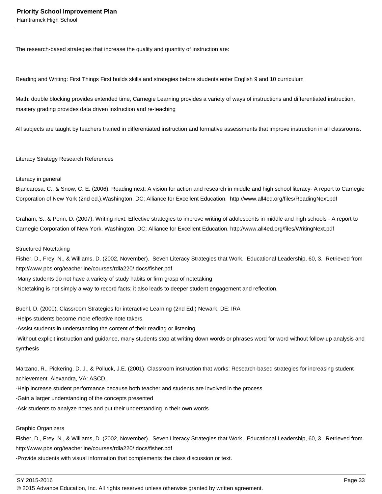The research-based strategies that increase the quality and quantity of instruction are:

Reading and Writing: First Things First builds skills and strategies before students enter English 9 and 10 curriculum

Math: double blocking provides extended time, Carnegie Learning provides a variety of ways of instructions and differentiated instruction, mastery grading provides data driven instruction and re-teaching

All subjects are taught by teachers trained in differentiated instruction and formative assessments that improve instruction in all classrooms.

#### Literacy Strategy Research References

#### Literacy in general

Biancarosa, C., & Snow, C. E. (2006). Reading next: A vision for action and research in middle and high school literacy- A report to Carnegie Corporation of New York (2nd ed.).Washington, DC: Alliance for Excellent Education. http://www.all4ed.org/files/ReadingNext.pdf

Graham, S., & Perin, D. (2007). Writing next: Effective strategies to improve writing of adolescents in middle and high schools - A report to Carnegie Corporation of New York. Washington, DC: Alliance for Excellent Education. http://www.all4ed.org/files/WritingNext.pdf

#### Structured Notetaking

Fisher, D., Frey, N., & Williams, D. (2002, November). Seven Literacy Strategies that Work. Educational Leadership, 60, 3. Retrieved from http://www.pbs.org/teacherline/courses/rdla220/ docs/fisher.pdf

- Many students do not have a variety of study habits or firm grasp of notetaking
- Notetaking is not simply a way to record facts; it also leads to deeper student engagement and reflection.

Buehl, D. (2000). Classroom Strategies for interactive Learning (2nd Ed.) Newark, DE: IRA

- Helps students become more effective note takers.
- Assist students in understanding the content of their reading or listening.

- Without explicit instruction and guidance, many students stop at writing down words or phrases word for word without follow-up analysis and synthesis

Marzano, R., Pickering, D. J., & Polluck, J.E. (2001). Classroom instruction that works: Research-based strategies for increasing student achievement. Alexandra, VA: ASCD.

- Help increase student performance because both teacher and students are involved in the process
- Gain a larger understanding of the concepts presented
- Ask students to analyze notes and put their understanding in their own words

#### Graphic Organizers

Fisher, D., Frey, N., & Williams, D. (2002, November). Seven Literacy Strategies that Work. Educational Leadership, 60, 3. Retrieved from http://www.pbs.org/teacherline/courses/rdla220/ docs/fisher.pdf

- Provide students with visual information that complements the class discussion or text.

SY 2015-2016 Page 33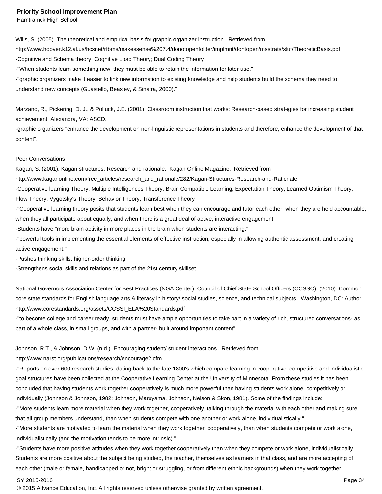Wills, S. (2005). The theoretical and empirical basis for graphic organizer instruction. Retrieved from http://www.hoover.k12.al.us/hcsnet/rfbms/makessense%207.4/donotopenfolder/implmnt/dontopen/msstrats/stuf/TheoreticBasis.pdf

- Cognitive and Schema theory; Cognitive Load Theory; Dual Coding Theory

- "When students learn something new, they must be able to retain the information for later use."

- "graphic organizers make it easier to link new information to existing knowledge and help students build the schema they need to understand new concepts (Guastello, Beasley, & Sinatra, 2000)."

Marzano, R., Pickering, D. J., & Polluck, J.E. (2001). Classroom instruction that works: Research-based strategies for increasing student achievement. Alexandra, VA: ASCD.

- graphic organizers "enhance the development on non-linguistic representations in students and therefore, enhance the development of that content".

#### Peer Conversations

Kagan, S. (2001). Kagan structures: Research and rationale. Kagan Online Magazine. Retrieved from

http://www.kaganonline.com/free\_articles/research\_and\_rationale/282/Kagan-Structures-Research-and-Rationale

- Cooperative learning Theory, Multiple Intelligences Theory, Brain Compatible Learning, Expectation Theory, Learned Optimism Theory, Flow Theory, Vygotsky's Theory, Behavior Theory, Transference Theory

- "Cooperative learning theory posits that students learn best when they can encourage and tutor each other, when they are held accountable, when they all participate about equally, and when there is a great deal of active, interactive engagement.

- Students have "more brain activity in more places in the brain when students are interacting."

- "powerful tools in implementing the essential elements of effective instruction, especially in allowing authentic assessment, and creating active engagement."

- Pushes thinking skills, higher-order thinking

- Strengthens social skills and relations as part of the 21st century skillset

National Governors Association Center for Best Practices (NGA Center), Council of Chief State School Officers (CCSSO). (2010). Common core state standards for English language arts & literacy in history/ social studies, science, and technical subjects. Washington, DC: Author. http://www.corestandards.org/assets/CCSSI\_ELA%20Standards.pdf

- "to become college and career ready, students must have ample opportunities to take part in a variety of rich, structured conversations- as part of a whole class, in small groups, and with a partner- built around important content"

#### Johnson, R.T., & Johnson, D.W. (n.d.) Encouraging student/ student interactions. Retrieved from

http://www.narst.org/publications/research/encourage2.cfm

- "Reports on over 600 research studies, dating back to the late 1800's which compare learning in cooperative, competitive and individualistic goal structures have been collected at the Cooperative Learning Center at the University of Minnesota. From these studies it has been concluded that having students work together cooperatively is much more powerful than having students work alone, competitively or individually (Johnson & Johnson, 1982; Johnson, Maruyama, Johnson, Nelson & Skon, 1981). Some of the findings include:"

- "More students learn more material when they work together, cooperatively, talking through the material with each other and making sure that all group members understand, than when students compete with one another or work alone, individualistically."

- "More students are motivated to learn the material when they work together, cooperatively, than when students compete or work alone, individualistically (and the motivation tends to be more intrinsic)."

- "Students have more positive attitudes when they work together cooperatively than when they compete or work alone, individualistically. Students are more positive about the subject being studied, the teacher, themselves as learners in that class, and are more accepting of each other (male or female, handicapped or not, bright or struggling, or from different ethnic backgrounds) when they work together

#### SY 2015-2016 Page 34

<sup>© 2015</sup> Advance Education, Inc. All rights reserved unless otherwise granted by written agreement.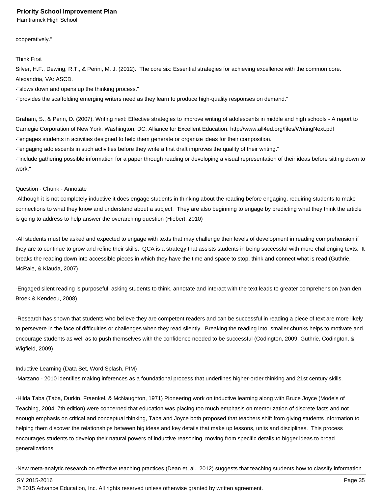Hamtramck High School

cooperatively."

Think First

Silver, H.F., Dewing, R.T., & Perini, M. J. (2012). The core six: Essential strategies for achieving excellence with the common core. Alexandria, VA: ASCD.

- "slows down and opens up the thinking process."

- "provides the scaffolding emerging writers need as they learn to produce high-quality responses on demand."

Graham, S., & Perin, D. (2007). Writing next: Effective strategies to improve writing of adolescents in middle and high schools - A report to Carnegie Corporation of New York. Washington, DC: Alliance for Excellent Education. http://www.all4ed.org/files/WritingNext.pdf - "engages students in activities designed to help them generate or organize ideas for their composition."

- "engaging adolescents in such activities before they write a first draft improves the quality of their writing."

- "include gathering possible information for a paper through reading or developing a visual representation of their ideas before sitting down to work."

#### Question - Chunk - Annotate

- Although it is not completely inductive it does engage students in thinking about the reading before engaging, requiring students to make connections to what they know and understand about a subject. They are also beginning to engage by predicting what they think the article is going to address to help answer the overarching question (Hiebert, 2010)

- All students must be asked and expected to engage with texts that may challenge their levels of development in reading comprehension if they are to continue to grow and refine their skills. QCA is a strategy that assists students in being successful with more challenging texts. It breaks the reading down into accessible pieces in which they have the time and space to stop, think and connect what is read (Guthrie, McRaie, & Klauda, 2007)

- Engaged silent reading is purposeful, asking students to think, annotate and interact with the text leads to greater comprehension (van den Broek & Kendeou, 2008).

- Research has shown that students who believe they are competent readers and can be successful in reading a piece of text are more likely to persevere in the face of difficulties or challenges when they read silently. Breaking the reading into smaller chunks helps to motivate and encourage students as well as to push themselves with the confidence needed to be successful (Codington, 2009, Guthrie, Codington, & Wigfield, 2009)

#### Inductive Learning (Data Set, Word Splash, PIM)

- Marzano - 2010 identifies making inferences as a foundational process that underlines higher-order thinking and 21st century skills.

- Hilda Taba (Taba, Durkin, Fraenkel, & McNaughton, 1971) Pioneering work on inductive learning along with Bruce Joyce (Models of Teaching, 2004, 7th edition) were concerned that education was placing too much emphasis on memorization of discrete facts and not enough emphasis on critical and conceptual thinking, Taba and Joyce both proposed that teachers shift from giving students information to helping them discover the relationships between big ideas and key details that make up lessons, units and disciplines. This process encourages students to develop their natural powers of inductive reasoning, moving from specific details to bigger ideas to broad generalizations.

- New meta-analytic research on effective teaching practices (Dean et, al., 2012) suggests that teaching students how to classify information

SY 2015-2016 Page 35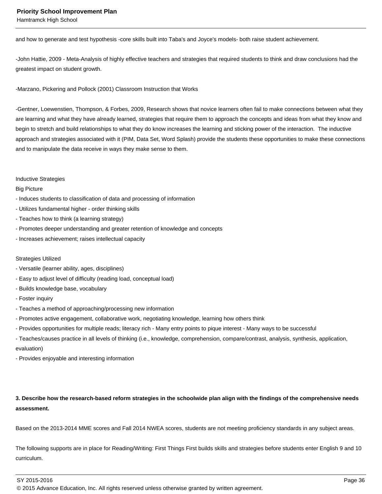Hamtramck High School

and how to generate and test hypothesis -core skills built into Taba's and Joyce's models- both raise student achievement.

- John Hattie, 2009 - Meta-Analysis of highly effective teachers and strategies that required students to think and draw conclusions had the greatest impact on student growth.

- Marzano, Pickering and Pollock (2001) Classroom Instruction that Works

- Gentner, Loewenstien, Thompson, & Forbes, 2009, Research shows that novice learners often fail to make connections between what they are learning and what they have already learned, strategies that require them to approach the concepts and ideas from what they know and begin to stretch and build relationships to what they do know increases the learning and sticking power of the interaction. The inductive approach and strategies associated with it (PIM, Data Set, Word Splash) provide the students these opportunities to make these connections and to manipulate the data receive in ways they make sense to them.

#### Inductive Strategies

#### Big Picture

- Induces students to classification of data and processing of information
- Utilizes fundamental higher order thinking skills
- Teaches how to think (a learning strategy)
- Promotes deeper understanding and greater retention of knowledge and concepts
- Increases achievement; raises intellectual capacity

#### Strategies Utilized

- Versatile (learner ability, ages, disciplines)
- Easy to adjust level of difficulty (reading load, conceptual load)
- Builds knowledge base, vocabulary
- Foster inquiry
- Teaches a method of approaching/processing new information
- Promotes active engagement, collaborative work, negotiating knowledge, learning how others think
- Provides opportunities for multiple reads; literacy rich Many entry points to pique interest Many ways to be successful
- Teaches/causes practice in all levels of thinking (i.e., knowledge, comprehension, compare/contrast, analysis, synthesis, application, evaluation)
- Provides enjoyable and interesting information

**3. Describe how the research-based reform strategies in the schoolwide plan align with the findings of the comprehensive needs assessment.**

Based on the 2013-2014 MME scores and Fall 2014 NWEA scores, students are not meeting proficiency standards in any subject areas.

The following supports are in place for Reading/Writing: First Things First builds skills and strategies before students enter English 9 and 10 curriculum.

SY 2015-2016 Page 36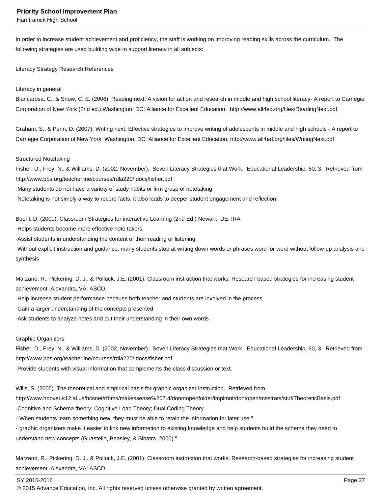Hamtramck High School

In order to increase student achievement and proficiency, the staff is working on improving reading skills across the curriculum. The following strategies are used building wide to support literacy in all subjects:

Literacy Strategy Research References

#### Literacy in general

Biancarosa, C., & Snow, C. E. (2006). Reading next: A vision for action and research in middle and high school literacy- A report to Carnegie Corporation of New York (2nd ed.).Washington, DC: Alliance for Excellent Education. http://www.all4ed.org/files/ReadingNext.pdf

Graham, S., & Perin, D. (2007). Writing next: Effective strategies to improve writing of adolescents in middle and high schools - A report to Carnegie Corporation of New York. Washington, DC: Alliance for Excellent Education. http://www.all4ed.org/files/WritingNext.pdf

#### Structured Notetaking

Fisher, D., Frey, N., & Williams, D. (2002, November). Seven Literacy Strategies that Work. Educational Leadership, 60, 3. Retrieved from http://www.pbs.org/teacherline/courses/rdla220/ docs/fisher.pdf

- Many students do not have a variety of study habits or firm grasp of notetaking
- Notetaking is not simply a way to record facts; it also leads to deeper student engagement and reflection.

Buehl, D. (2000). Classroom Strategies for interactive Learning (2nd Ed.) Newark, DE: IRA

- Helps students become more effective note takers.
- Assist students in understanding the content of their reading or listening.

- Without explicit instruction and guidance, many students stop at writing down words or phrases word for word without follow-up analysis and synthesis

Marzano, R., Pickering, D. J., & Polluck, J.E. (2001). Classroom instruction that works: Research-based strategies for increasing student achievement. Alexandra, VA: ASCD.

- Help increase student performance because both teacher and students are involved in the process
- Gain a larger understanding of the concepts presented
- Ask students to analyze notes and put their understanding in their own words

#### Graphic Organizers

Fisher, D., Frey, N., & Williams, D. (2002, November). Seven Literacy Strategies that Work. Educational Leadership, 60, 3. Retrieved from http://www.pbs.org/teacherline/courses/rdla220/ docs/fisher.pdf

- Provide students with visual information that complements the class discussion or text.

Wills, S. (2005). The theoretical and empirical basis for graphic organizer instruction. Retrieved from

http://www.hoover.k12.al.us/hcsnet/rfbms/makessense%207.4/donotopenfolder/implmnt/dontopen/msstrats/stuf/TheoreticBasis.pdf

- Cognitive and Schema theory; Cognitive Load Theory; Dual Coding Theory

- "When students learn something new, they must be able to retain the information for later use."

- "graphic organizers make it easier to link new information to existing knowledge and help students build the schema they need to understand new concepts (Guastello, Beasley, & Sinatra, 2000)."

Marzano, R., Pickering, D. J., & Polluck, J.E. (2001). Classroom instruction that works: Research-based strategies for increasing student achievement. Alexandra, VA: ASCD.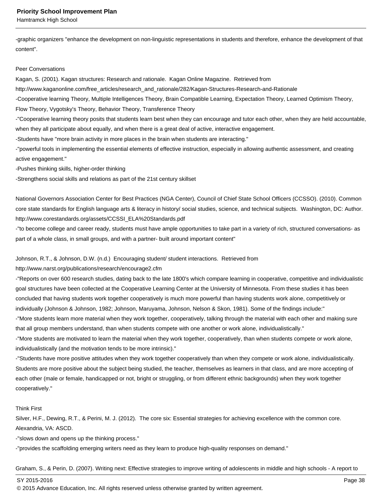Hamtramck High School

- graphic organizers "enhance the development on non-linguistic representations in students and therefore, enhance the development of that content".

#### Peer Conversations

Kagan, S. (2001). Kagan structures: Research and rationale. Kagan Online Magazine. Retrieved from

http://www.kaganonline.com/free\_articles/research\_and\_rationale/282/Kagan-Structures-Research-and-Rationale

- Cooperative learning Theory, Multiple Intelligences Theory, Brain Compatible Learning, Expectation Theory, Learned Optimism Theory, Flow Theory, Vygotsky's Theory, Behavior Theory, Transference Theory

- "Cooperative learning theory posits that students learn best when they can encourage and tutor each other, when they are held accountable, when they all participate about equally, and when there is a great deal of active, interactive engagement.

- Students have "more brain activity in more places in the brain when students are interacting."

- "powerful tools in implementing the essential elements of effective instruction, especially in allowing authentic assessment, and creating active engagement."

- Pushes thinking skills, higher-order thinking

- Strengthens social skills and relations as part of the 21st century skillset

National Governors Association Center for Best Practices (NGA Center), Council of Chief State School Officers (CCSSO). (2010). Common core state standards for English language arts & literacy in history/ social studies, science, and technical subjects. Washington, DC: Author. http://www.corestandards.org/assets/CCSSI\_ELA%20Standards.pdf

- "to become college and career ready, students must have ample opportunities to take part in a variety of rich, structured conversations- as part of a whole class, in small groups, and with a partner- built around important content"

## Johnson, R.T., & Johnson, D.W. (n.d.) Encouraging student/ student interactions. Retrieved from

http://www.narst.org/publications/research/encourage2.cfm

- "Reports on over 600 research studies, dating back to the late 1800's which compare learning in cooperative, competitive and individualistic goal structures have been collected at the Cooperative Learning Center at the University of Minnesota. From these studies it has been concluded that having students work together cooperatively is much more powerful than having students work alone, competitively or individually (Johnson & Johnson, 1982; Johnson, Maruyama, Johnson, Nelson & Skon, 1981). Some of the findings include:"

- "More students learn more material when they work together, cooperatively, talking through the material with each other and making sure that all group members understand, than when students compete with one another or work alone, individualistically."

- "More students are motivated to learn the material when they work together, cooperatively, than when students compete or work alone, individualistically (and the motivation tends to be more intrinsic)."

- "Students have more positive attitudes when they work together cooperatively than when they compete or work alone, individualistically. Students are more positive about the subject being studied, the teacher, themselves as learners in that class, and are more accepting of each other (male or female, handicapped or not, bright or struggling, or from different ethnic backgrounds) when they work together cooperatively."

#### Think First

Silver, H.F., Dewing, R.T., & Perini, M. J. (2012). The core six: Essential strategies for achieving excellence with the common core. Alexandria, VA: ASCD.

- "slows down and opens up the thinking process."

- "provides the scaffolding emerging writers need as they learn to produce high-quality responses on demand."

Graham, S., & Perin, D. (2007). Writing next: Effective strategies to improve writing of adolescents in middle and high schools - A report to

SY 2015-2016 Page 38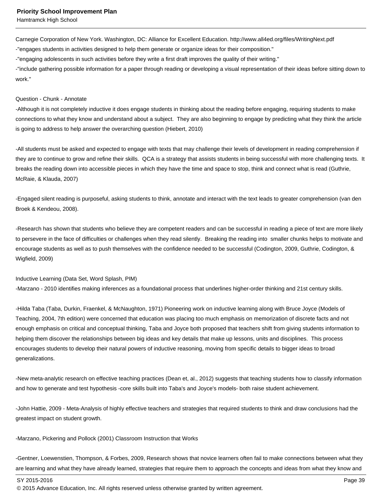Carnegie Corporation of New York. Washington, DC: Alliance for Excellent Education. http://www.all4ed.org/files/WritingNext.pdf

- "engages students in activities designed to help them generate or organize ideas for their composition."

- "engaging adolescents in such activities before they write a first draft improves the quality of their writing."

- "include gathering possible information for a paper through reading or developing a visual representation of their ideas before sitting down to work."

#### Question - Chunk - Annotate

- Although it is not completely inductive it does engage students in thinking about the reading before engaging, requiring students to make connections to what they know and understand about a subject. They are also beginning to engage by predicting what they think the article is going to address to help answer the overarching question (Hiebert, 2010)

- All students must be asked and expected to engage with texts that may challenge their levels of development in reading comprehension if they are to continue to grow and refine their skills. QCA is a strategy that assists students in being successful with more challenging texts. It breaks the reading down into accessible pieces in which they have the time and space to stop, think and connect what is read (Guthrie, McRaie, & Klauda, 2007)

- Engaged silent reading is purposeful, asking students to think, annotate and interact with the text leads to greater comprehension (van den Broek & Kendeou, 2008).

- Research has shown that students who believe they are competent readers and can be successful in reading a piece of text are more likely to persevere in the face of difficulties or challenges when they read silently. Breaking the reading into smaller chunks helps to motivate and encourage students as well as to push themselves with the confidence needed to be successful (Codington, 2009, Guthrie, Codington, & Wigfield, 2009)

Inductive Learning (Data Set, Word Splash, PIM)

- Marzano - 2010 identifies making inferences as a foundational process that underlines higher-order thinking and 21st century skills.

- Hilda Taba (Taba, Durkin, Fraenkel, & McNaughton, 1971) Pioneering work on inductive learning along with Bruce Joyce (Models of Teaching, 2004, 7th edition) were concerned that education was placing too much emphasis on memorization of discrete facts and not enough emphasis on critical and conceptual thinking, Taba and Joyce both proposed that teachers shift from giving students information to helping them discover the relationships between big ideas and key details that make up lessons, units and disciplines. This process encourages students to develop their natural powers of inductive reasoning, moving from specific details to bigger ideas to broad generalizations.

- New meta-analytic research on effective teaching practices (Dean et, al., 2012) suggests that teaching students how to classify information and how to generate and test hypothesis -core skills built into Taba's and Joyce's models- both raise student achievement.

- John Hattie, 2009 - Meta-Analysis of highly effective teachers and strategies that required students to think and draw conclusions had the greatest impact on student growth.

- Marzano, Pickering and Pollock (2001) Classroom Instruction that Works

- Gentner, Loewenstien, Thompson, & Forbes, 2009, Research shows that novice learners often fail to make connections between what they are learning and what they have already learned, strategies that require them to approach the concepts and ideas from what they know and

SY 2015-2016 Page 39

<sup>© 2015</sup> Advance Education, Inc. All rights reserved unless otherwise granted by written agreement.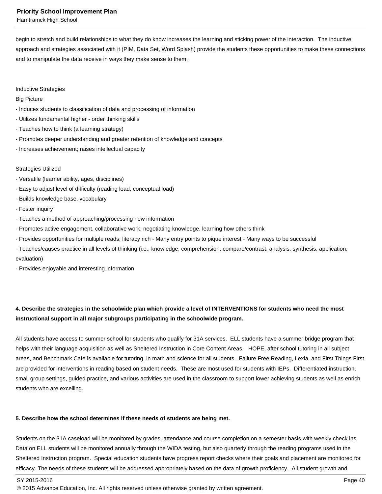Hamtramck High School

begin to stretch and build relationships to what they do know increases the learning and sticking power of the interaction. The inductive approach and strategies associated with it (PIM, Data Set, Word Splash) provide the students these opportunities to make these connections and to manipulate the data receive in ways they make sense to them.

Inductive Strategies

#### Big Picture

- Induces students to classification of data and processing of information
- Utilizes fundamental higher order thinking skills
- Teaches how to think (a learning strategy)
- Promotes deeper understanding and greater retention of knowledge and concepts
- Increases achievement; raises intellectual capacity

## Strategies Utilized

- Versatile (learner ability, ages, disciplines)
- Easy to adjust level of difficulty (reading load, conceptual load)
- Builds knowledge base, vocabulary
- Foster inquiry
- Teaches a method of approaching/processing new information
- Promotes active engagement, collaborative work, negotiating knowledge, learning how others think
- Provides opportunities for multiple reads; literacy rich Many entry points to pique interest Many ways to be successful
- Teaches/causes practice in all levels of thinking (i.e., knowledge, comprehension, compare/contrast, analysis, synthesis, application, evaluation)

- Provides enjoyable and interesting information

## **4. Describe the strategies in the schoolwide plan which provide a level of INTERVENTIONS for students who need the most instructional support in all major subgroups participating in the schoolwide program.**

All students have access to summer school for students who qualify for 31A services. ELL students have a summer bridge program that helps with their language acquisition as well as Sheltered Instruction in Core Content Areas. HOPE, after school tutoring in all subject areas, and Benchmark Café is available for tutoring in math and science for all students. Failure Free Reading, Lexia, and First Things First are provided for interventions in reading based on student needs. These are most used for students with IEPs. Differentiated instruction, small group settings, guided practice, and various activities are used in the classroom to support lower achieving students as well as enrich students who are excelling.

## **5. Describe how the school determines if these needs of students are being met.**

Students on the 31A caseload will be monitored by grades, attendance and course completion on a semester basis with weekly check ins. Data on ELL students will be monitored annually through the WIDA testing, but also quarterly through the reading programs used in the Sheltered Instruction program. Special education students have progress report checks where their goals and placement are monitored for efficacy. The needs of these students will be addressed appropriately based on the data of growth proficiency. All student growth and

SY 2015-2016 Page 40

<sup>© 2015</sup> Advance Education, Inc. All rights reserved unless otherwise granted by written agreement.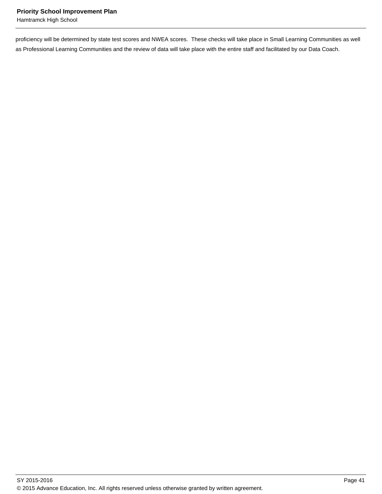proficiency will be determined by state test scores and NWEA scores. These checks will take place in Small Learning Communities as well as Professional Learning Communities and the review of data will take place with the entire staff and facilitated by our Data Coach.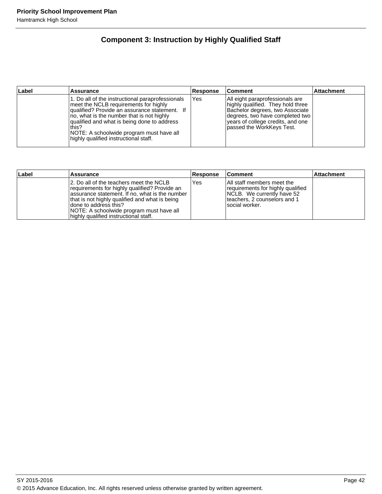## **Component 3: Instruction by Highly Qualified Staff**

| Label | <b>Assurance</b>                                                                                                                                                                                                                                                                                                                     | <b>Response</b> | <b>Comment</b>                                                                                                                                                                                                | <b>Attachment</b> |
|-------|--------------------------------------------------------------------------------------------------------------------------------------------------------------------------------------------------------------------------------------------------------------------------------------------------------------------------------------|-----------------|---------------------------------------------------------------------------------------------------------------------------------------------------------------------------------------------------------------|-------------------|
|       | 1. Do all of the instructional paraprofessionals<br>meet the NCLB requirements for highly<br>qualified? Provide an assurance statement. If<br>no, what is the number that is not highly<br>qualified and what is being done to address<br>this?<br>NOTE: A schoolwide program must have all<br>highly qualified instructional staff. | Yes             | All eight paraprofessionals are<br>highly qualified. They hold three<br>Bachelor degrees, two Associate<br>Idegrees, two have completed two<br>vears of college credits, and one<br>passed the WorkKeys Test. |                   |

| Label | Assurance                                                                                                                                                                                                                                                                                                    | <b>Response</b> | <b>Comment</b>                                                                                                                                    | <b>Attachment</b> |
|-------|--------------------------------------------------------------------------------------------------------------------------------------------------------------------------------------------------------------------------------------------------------------------------------------------------------------|-----------------|---------------------------------------------------------------------------------------------------------------------------------------------------|-------------------|
|       | 12. Do all of the teachers meet the NCLB<br>requirements for highly qualified? Provide an<br>assurance statement. If no, what is the number<br>that is not highly qualified and what is being<br>Idone to address this?<br>NOTE: A schoolwide program must have all<br>highly qualified instructional staff. | Yes             | IAII staff members meet the<br>requirements for highly qualified<br>NCLB. We currently have 52<br>teachers, 2 counselors and 1<br>Isocial worker. |                   |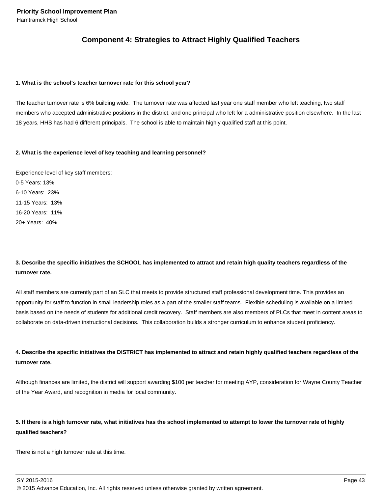## **Component 4: Strategies to Attract Highly Qualified Teachers**

#### **1. What is the school's teacher turnover rate for this school year?**

The teacher turnover rate is 6% building wide. The turnover rate was affected last year one staff member who left teaching, two staff members who accepted administrative positions in the district, and one principal who left for a administrative position elsewhere. In the last 18 years, HHS has had 6 different principals. The school is able to maintain highly qualified staff at this point.

#### **2. What is the experience level of key teaching and learning personnel?**

Experience level of key staff members: 0-5 Years: 13% 6-10 Years: 23% 11-15 Years: 13% 16-20 Years: 11% 20+ Years: 40%

## **3. Describe the specific initiatives the SCHOOL has implemented to attract and retain high quality teachers regardless of the turnover rate.**

All staff members are currently part of an SLC that meets to provide structured staff professional development time. This provides an opportunity for staff to function in small leadership roles as a part of the smaller staff teams. Flexible scheduling is available on a limited basis based on the needs of students for additional credit recovery. Staff members are also members of PLCs that meet in content areas to collaborate on data-driven instructional decisions. This collaboration builds a stronger curriculum to enhance student proficiency.

## **4. Describe the specific initiatives the DISTRICT has implemented to attract and retain highly qualified teachers regardless of the turnover rate.**

Although finances are limited, the district will support awarding \$100 per teacher for meeting AYP, consideration for Wayne County Teacher of the Year Award, and recognition in media for local community.

## **5. If there is a high turnover rate, what initiatives has the school implemented to attempt to lower the turnover rate of highly qualified teachers?**

There is not a high turnover rate at this time.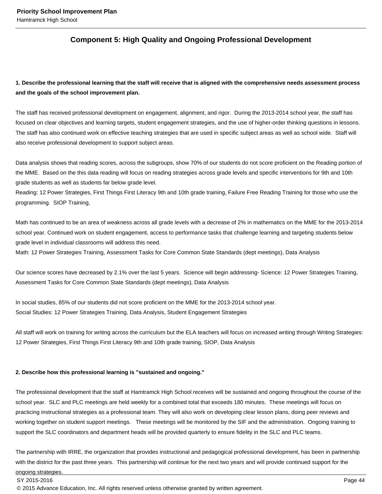## **Component 5: High Quality and Ongoing Professional Development**

**1. Describe the professional learning that the staff will receive that is aligned with the comprehensive needs assessment process and the goals of the school improvement plan.**

The staff has received professional development on engagement, alignment, and rigor. During the 2013-2014 school year, the staff has focused on clear objectives and learning targets, student engagement strategies, and the use of higher-order thinking questions in lessons. The staff has also continued work on effective teaching strategies that are used in specific subject areas as well as school wide. Staff will also receive professional development to support subject areas.

Data analysis shows that reading scores, across the subgroups, show 70% of our students do not score proficient on the Reading portion of the MME. Based on the this data reading will focus on reading strategies across grade levels and specific interventions for 9th and 10th grade students as well as students far below grade level.

Reading: 12 Power Strategies, First Things First Literacy 9th and 10th grade training, Failure Free Reading Training for those who use the programming. SIOP Training,

Math has continued to be an area of weakness across all grade levels with a decrease of 2% in mathematics on the MME for the 2013-2014 school year. Continued work on student engagement, access to performance tasks that challenge learning and targeting students below grade level in individual classrooms will address this need.

Math: 12 Power Strategies Training, Assessment Tasks for Core Common State Standards (dept meetings), Data Analysis

Our science scores have decreased by 2.1% over the last 5 years. Science will begin addressing- Science: 12 Power Strategies Training, Assessment Tasks for Core Common State Standards (dept meetings), Data Analysis

In social studies, 85% of our students did not score proficient on the MME for the 2013-2014 school year. Social Studies: 12 Power Strategies Training, Data Analysis, Student Engagement Strategies

All staff will work on training for writing across the curriculum but the ELA teachers will focus on increased writing through Writing Strategies: 12 Power Strategies, First Things First Literacy 9th and 10th grade training, SIOP, Data Analysis

#### **2. Describe how this professional learning is "sustained and ongoing."**

The professional development that the staff at Hamtramck High School receives will be sustained and ongoing throughout the course of the school year. SLC and PLC meetings are held weekly for a combined total that exceeds 180 minutes. These meetings will focus on practicing instructional strategies as a professional team. They will also work on developing clear lesson plans, doing peer reviews and working together on student support meetings. These meetings will be monitored by the SIF and the administration. Ongoing training to support the SLC coordinators and department heads will be provided quarterly to ensure fidelity in the SLC and PLC teams.

The partnership with IRRE, the organization that provides instructional and pedagogical professional development, has been in partnership with the district for the past three years. This partnership will continue for the next two years and will provide continued support for the ongoing strategies.

SY 2015-2016 Page 44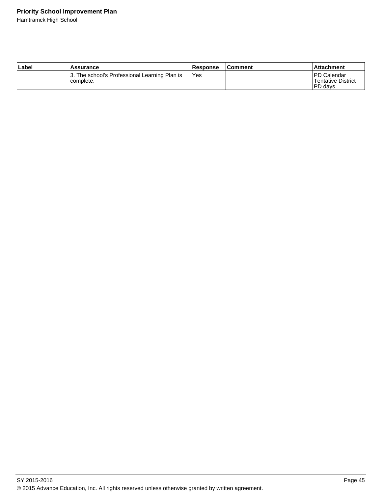| Label | <b>Assurance</b>                                           | <b>Response</b> | <b>Comment</b> | <b>Attachment</b>                              |
|-------|------------------------------------------------------------|-----------------|----------------|------------------------------------------------|
|       | 3. The school's Professional Learning Plan is<br>complete. | 'Yes            |                | IPD Calendar<br>Tentative District<br>IPD davs |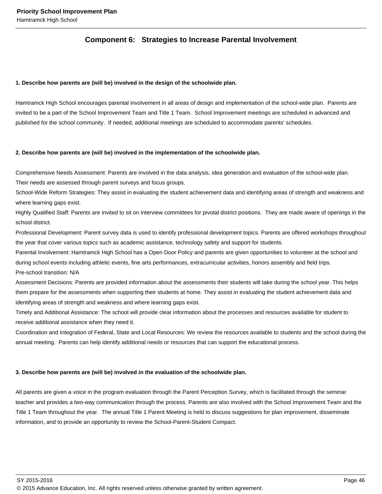## **Component 6: Strategies to Increase Parental Involvement**

#### **1. Describe how parents are (will be) involved in the design of the schoolwide plan.**

Hamtramck High School encourages parental involvement in all areas of design and implementation of the school-wide plan. Parents are invited to be a part of the School Improvement Team and Title 1 Team. School Improvement meetings are scheduled in advanced and published for the school community. If needed, additional meetings are scheduled to accommodate parents' schedules.

#### **2. Describe how parents are (will be) involved in the implementation of the schoolwide plan.**

Comprehensive Needs Assessment: Parents are involved in the data analysis, idea generation and evaluation of the school-wide plan.

Their needs are assessed through parent surveys and focus groups.

School-Wide Reform Strategies: They assist in evaluating the student achievement data and identifying areas of strength and weakness and where learning gaps exist.

Highly Qualified Staff: Parents are invited to sit on interview committees for pivotal district positions. They are made aware of openings in the school district.

Professional Development: Parent survey data is used to identify professional development topics. Parents are offered workshops throughout the year that cover various topics such as academic assistance, technology safety and support for students.

Parental Involvement: Hamtramck High School has a Open Door Policy and parents are given opportunities to volunteer at the school and during school events including athletic events, fine arts performances, extracurricular activities, honors assembly and field trips. Pre-school transition: N/A

Assessment Decisions: Parents are provided information about the assessments their students will take during the school year. This helps them prepare for the assessments when supporting their students at home. They assist in evaluating the student achievement data and identifying areas of strength and weakness and where learning gaps exist.

Timely and Additional Assistance: The school will provide clear information about the processes and resources available for student to receive additional assistance when they need it.

Coordination and Integration of Federal, State and Local Resources: We review the resources available to students and the school during the annual meeting. Parents can help identify additional needs or resources that can support the educational process.

#### **3. Describe how parents are (will be) involved in the evaluation of the schoolwide plan.**

All parents are given a voice in the program evaluation through the Parent Perception Survey, which is facilitated through the seminar teacher and provides a two-way communication through the process. Parents are also involved with the School Improvement Team and the Title 1 Team throughout the year. The annual Title 1 Parent Meeting is held to discuss suggestions for plan improvement, disseminate information, and to provide an opportunity to review the School-Parent-Student Compact.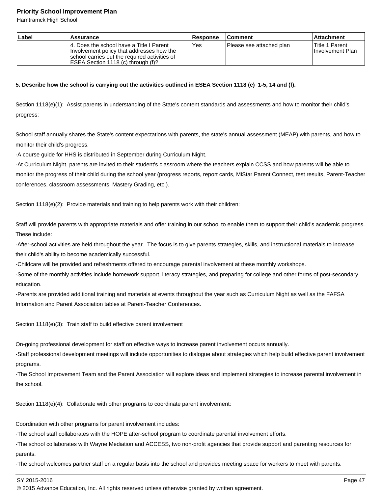Hamtramck High School

| Label | Assurance                                                                                                                                                                     | <b>Response</b> | <b>Comment</b>           | <b>Attachment</b>                           |
|-------|-------------------------------------------------------------------------------------------------------------------------------------------------------------------------------|-----------------|--------------------------|---------------------------------------------|
|       | 14. Does the school have a Title I Parent<br>Involvement policy that addresses how the<br>school carries out the required activities of<br>ESEA Section 1118 (c) through (f)? | Yes             | Please see attached plan | lTitle 1 Parent<br><b>Ilnvolvement Plan</b> |

#### **5. Describe how the school is carrying out the activities outlined in ESEA Section 1118 (e) 1-5, 14 and (f).**

Section 1118(e)(1): Assist parents in understanding of the State's content standards and assessments and how to monitor their child's progress:

School staff annually shares the State's content expectations with parents, the state's annual assessment (MEAP) with parents, and how to monitor their child's progress.

- A course guide for HHS is distributed in September during Curriculum Night.

- At Curriculum Night, parents are invited to their student's classroom where the teachers explain CCSS and how parents will be able to monitor the progress of their child during the school year (progress reports, report cards, MiStar Parent Connect, test results, Parent-Teacher conferences, classroom assessments, Mastery Grading, etc.).

Section 1118(e)(2): Provide materials and training to help parents work with their children:

Staff will provide parents with appropriate materials and offer training in our school to enable them to support their child's academic progress. These include:

- After-school activities are held throughout the year. The focus is to give parents strategies, skills, and instructional materials to increase their child's ability to become academically successful.

- Childcare will be provided and refreshments offered to encourage parental involvement at these monthly workshops.

- Some of the monthly activities include homework support, literacy strategies, and preparing for college and other forms of post-secondary education.

- Parents are provided additional training and materials at events throughout the year such as Curriculum Night as well as the FAFSA Information and Parent Association tables at Parent-Teacher Conferences.

Section 1118(e)(3): Train staff to build effective parent involvement

On-going professional development for staff on effective ways to increase parent involvement occurs annually.

- Staff professional development meetings will include opportunities to dialogue about strategies which help build effective parent involvement programs.

- The School Improvement Team and the Parent Association will explore ideas and implement strategies to increase parental involvement in the school.

Section 1118(e)(4): Collaborate with other programs to coordinate parent involvement:

Coordination with other programs for parent involvement includes:

- The school staff collaborates with the HOPE after-school program to coordinate parental involvement efforts.

- The school collaborates with Wayne Mediation and ACCESS, two non-profit agencies that provide support and parenting resources for parents.

- The school welcomes partner staff on a regular basis into the school and provides meeting space for workers to meet with parents.

SY 2015-2016 Page 47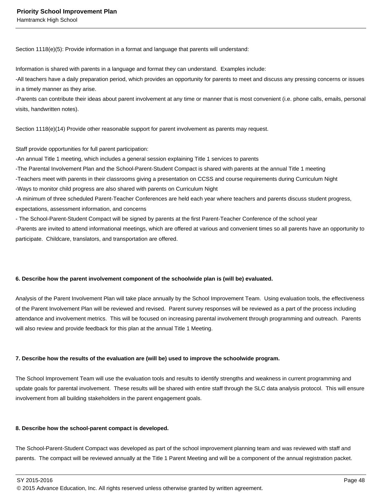Section 1118(e)(5): Provide information in a format and language that parents will understand:

Information is shared with parents in a language and format they can understand. Examples include:

- All teachers have a daily preparation period, which provides an opportunity for parents to meet and discuss any pressing concerns or issues in a timely manner as they arise.

- Parents can contribute their ideas about parent involvement at any time or manner that is most convenient (i.e. phone calls, emails, personal visits, handwritten notes).

Section 1118(e)(14) Provide other reasonable support for parent involvement as parents may request.

Staff provide opportunities for full parent participation:

- An annual Title 1 meeting, which includes a general session explaining Title 1 services to parents

- The Parental Involvement Plan and the School-Parent-Student Compact is shared with parents at the annual Title 1 meeting

- Teachers meet with parents in their classrooms giving a presentation on CCSS and course requirements during Curriculum Night

- Ways to monitor child progress are also shared with parents on Curriculum Night

- A minimum of three scheduled Parent-Teacher Conferences are held each year where teachers and parents discuss student progress, expectations, assessment information, and concerns

- The School-Parent-Student Compact will be signed by parents at the first Parent-Teacher Conference of the school year

- Parents are invited to attend informational meetings, which are offered at various and convenient times so all parents have an opportunity to participate. Childcare, translators, and transportation are offered.

#### **6. Describe how the parent involvement component of the schoolwide plan is (will be) evaluated.**

Analysis of the Parent Involvement Plan will take place annually by the School Improvement Team. Using evaluation tools, the effectiveness of the Parent Involvement Plan will be reviewed and revised. Parent survey responses will be reviewed as a part of the process including attendance and involvement metrics. This will be focused on increasing parental involvement through programming and outreach. Parents will also review and provide feedback for this plan at the annual Title 1 Meeting.

## **7. Describe how the results of the evaluation are (will be) used to improve the schoolwide program.**

The School Improvement Team will use the evaluation tools and results to identify strengths and weakness in current programming and update goals for parental involvement. These results will be shared with entire staff through the SLC data analysis protocol. This will ensure involvement from all building stakeholders in the parent engagement goals.

#### **8. Describe how the school-parent compact is developed.**

The School-Parent-Student Compact was developed as part of the school improvement planning team and was reviewed with staff and parents. The compact will be reviewed annually at the Title 1 Parent Meeting and will be a component of the annual registration packet.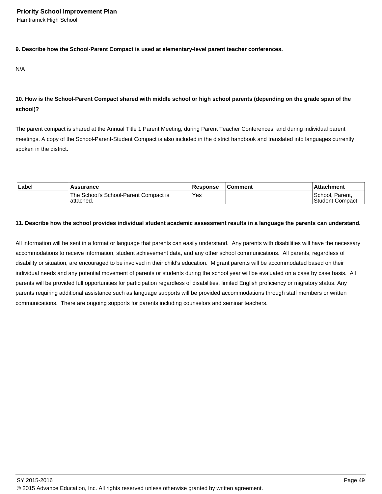#### **9. Describe how the School-Parent Compact is used at elementary-level parent teacher conferences.**

N/A

## **10. How is the School-Parent Compact shared with middle school or high school parents (depending on the grade span of the school)?**

The parent compact is shared at the Annual Title 1 Parent Meeting, during Parent Teacher Conferences, and during individual parent meetings. A copy of the School-Parent-Student Compact is also included in the district handbook and translated into languages currently spoken in the district.

| Labe | <b>Assurance</b>                                    | <b>Response</b> | Comment | <b>Attachment</b>                   |
|------|-----------------------------------------------------|-----------------|---------|-------------------------------------|
|      | The School's School-Parent Compact is<br>lattached. | Yes             |         | School. Parent.<br>lStudent Compact |

#### **11. Describe how the school provides individual student academic assessment results in a language the parents can understand.**

All information will be sent in a format or language that parents can easily understand. Any parents with disabilities will have the necessary accommodations to receive information, student achievement data, and any other school communications. All parents, regardless of disability or situation, are encouraged to be involved in their child's education. Migrant parents will be accommodated based on their individual needs and any potential movement of parents or students during the school year will be evaluated on a case by case basis. All parents will be provided full opportunities for participation regardless of disabilities, limited English proficiency or migratory status. Any parents requiring additional assistance such as language supports will be provided accommodations through staff members or written communications. There are ongoing supports for parents including counselors and seminar teachers.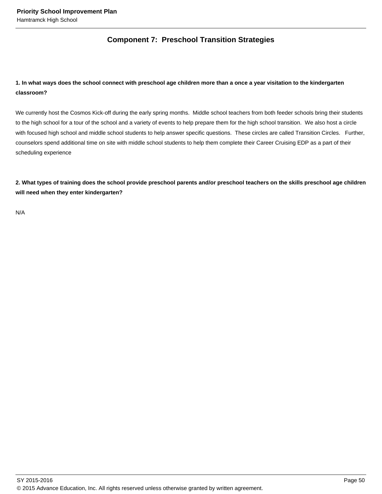## **Component 7: Preschool Transition Strategies**

## **1. In what ways does the school connect with preschool age children more than a once a year visitation to the kindergarten classroom?**

We currently host the Cosmos Kick-off during the early spring months. Middle school teachers from both feeder schools bring their students to the high school for a tour of the school and a variety of events to help prepare them for the high school transition. We also host a circle with focused high school and middle school students to help answer specific questions. These circles are called Transition Circles. Further, counselors spend additional time on site with middle school students to help them complete their Career Cruising EDP as a part of their scheduling experience

**2. What types of training does the school provide preschool parents and/or preschool teachers on the skills preschool age children will need when they enter kindergarten?** 

N/A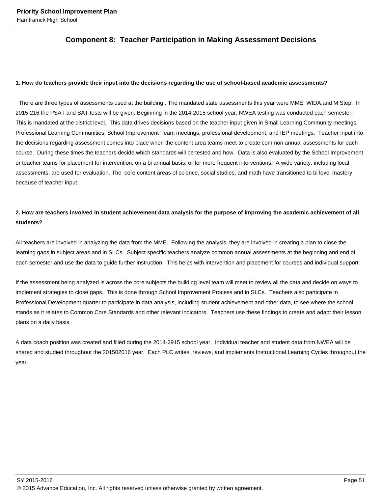## **Component 8: Teacher Participation in Making Assessment Decisions**

#### **1. How do teachers provide their input into the decisions regarding the use of school-based academic assessments?**

 There are three types of assessments used at the building . The mandated state assessments this year were MME, WIDA,and M Step. In 2015-216 the PSAT and SAT tests will be given. Beginning in the 2014-2015 school year, NWEA testing was conducted each semester. This is mandated at the district level. This data drives decisions based on the teacher input given in Small Learning Community meetings, Professional Learning Communities, School Improvement Team meetings, professional development, and IEP meetings. Teacher input into the decisions regarding assessment comes into place when the content area teams meet to create common annual assessments for each course. During these times the teachers decide which standards will be tested and how. Data is also evaluated by the School Improvement or teacher teams for placement for intervention, on a bi annual basis, or for more frequent interventions. A wide variety, including local assessments, are used for evaluation. The core content areas of science, social studies, and math have transitioned to bi level mastery because of teacher input.

## **2. How are teachers involved in student achievement data analysis for the purpose of improving the academic achievement of all students?**

All teachers are involved in analyzing the data from the MME. Following the analysis, they are involved in creating a plan to close the learning gaps in subject areas and in SLCs. Subject specific teachers analyze common annual assessments at the beginning and end of each semester and use the data to guide further instruction. This helps with intervention and placement for courses and individual support

If the assessment being analyzed is across the core subjects the building level team will meet to review all the data and decide on ways to implement strategies to close gaps. This is done through School Improvement Process and in SLCs. Teachers also participate in Professional Development quarter to participate in data analysis, including student achievement and other data, to see where the school stands as it relates to Common Core Standards and other relevant indicators. Teachers use these findings to create and adapt their lesson plans on a daily basis.

A data coach position was created and filled during the 2014-2915 school year. Individual teacher and student data from NWEA will be shared and studied throughout the 201502016 year. Each PLC writes, reviews, and implements Instructional Learning Cycles throughout the year.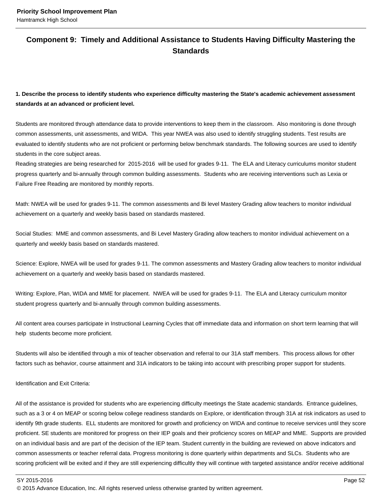## **Component 9: Timely and Additional Assistance to Students Having Difficulty Mastering the Standards**

**1. Describe the process to identify students who experience difficulty mastering the State's academic achievement assessment standards at an advanced or proficient level.**

Students are monitored through attendance data to provide interventions to keep them in the classroom. Also monitoring is done through common assessments, unit assessments, and WIDA. This year NWEA was also used to identify struggling students. Test results are evaluated to identify students who are not proficient or performing below benchmark standards. The following sources are used to identify students in the core subject areas.

Reading strategies are being researched for 2015-2016 will be used for grades 9-11. The ELA and Literacy curriculums monitor student progress quarterly and bi-annually through common building assessments. Students who are receiving interventions such as Lexia or Failure Free Reading are monitored by monthly reports.

Math: NWEA will be used for grades 9-11. The common assessments and Bi level Mastery Grading allow teachers to monitor individual achievement on a quarterly and weekly basis based on standards mastered.

Social Studies: MME and common assessments, and Bi Level Mastery Grading allow teachers to monitor individual achievement on a quarterly and weekly basis based on standards mastered.

Science: Explore, NWEA will be used for grades 9-11. The common assessments and Mastery Grading allow teachers to monitor individual achievement on a quarterly and weekly basis based on standards mastered.

Writing: Explore, Plan, WIDA and MME for placement. NWEA will be used for grades 9-11. The ELA and Literacy curriculum monitor student progress quarterly and bi-annually through common building assessments.

All content area courses participate in Instructional Learning Cycles that off immediate data and information on short term learning that will help students become more proficient.

Students will also be identified through a mix of teacher observation and referral to our 31A staff members. This process allows for other factors such as behavior, course attainment and 31A indicators to be taking into account with prescribing proper support for students.

Identification and Exit Criteria:

All of the assistance is provided for students who are experiencing difficulty meetings the State academic standards. Entrance guidelines, such as a 3 or 4 on MEAP or scoring below college readiness standards on Explore, or identification through 31A at risk indicators as used to identify 9th grade students. ELL students are monitored for growth and proficiency on WIDA and continue to receive services until they score proficient. SE students are monitored for progress on their IEP goals and their proficiency scores on MEAP and MME. Supports are provided on an individual basis and are part of the decision of the IEP team. Student currently in the building are reviewed on above indicators and common assessments or teacher referral data. Progress monitoring is done quarterly within departments and SLCs. Students who are scoring proficient will be exited and if they are still experiencing difficultly they will continue with targeted assistance and/or receive additional

SY 2015-2016 Page 52

<sup>© 2015</sup> Advance Education, Inc. All rights reserved unless otherwise granted by written agreement.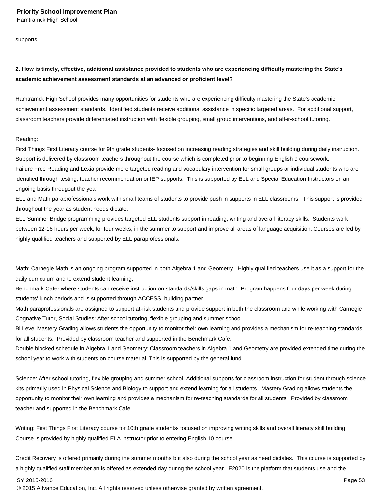supports.

## **2. How is timely, effective, additional assistance provided to students who are experiencing difficulty mastering the State's academic achievement assessment standards at an advanced or proficient level?**

Hamtramck High School provides many opportunities for students who are experiencing difficulty mastering the State's academic achievement assessment standards. Identified students receive additional assistance in specific targeted areas. For additional support, classroom teachers provide differentiated instruction with flexible grouping, small group interventions, and after-school tutoring.

#### Reading:

First Things First Literacy course for 9th grade students- focused on increasing reading strategies and skill building during daily instruction. Support is delivered by classroom teachers throughout the course which is completed prior to beginning English 9 coursework. Failure Free Reading and Lexia provide more targeted reading and vocabulary intervention for small groups or individual students who are identified through testing, teacher recommendation or IEP supports. This is supported by ELL and Special Education Instructors on an ongoing basis througout the year.

ELL and Math paraprofessionals work with small teams of students to provide push in supports in ELL classrooms. This support is provided throughout the year as student needs dictate.

ELL Summer Bridge programming provides targeted ELL students support in reading, writing and overall literacy skills. Students work between 12-16 hours per week, for four weeks, in the summer to support and improve all areas of language acquisition. Courses are led by highly qualified teachers and supported by ELL paraprofessionals.

Math: Carnegie Math is an ongoing program supported in both Algebra 1 and Geometry. Highly qualified teachers use it as a support for the daily curriculum and to extend student learning,

Benchmark Cafe- where students can receive instruction on standards/skills gaps in math. Program happens four days per week during students' lunch periods and is supported through ACCESS, building partner.

Math paraprofessionals are assigned to support at-risk students and provide support in both the classroom and while working with Carnegie Cognative Tutor, Social Studies: After school tutoring, flexible grouping and summer school.

Bi Level Mastery Grading allows students the opportunity to monitor their own learning and provides a mechanism for re-teaching standards for all students. Provided by classroom teacher and supported in the Benchmark Cafe.

Double blocked schedule in Algebra 1 and Geometry: Classroom teachers in Algebra 1 and Geometry are provided extended time during the school year to work with students on course material. This is supported by the general fund.

Science: After school tutoring, flexible grouping and summer school. Additional supports for classroom instruction for student through science kits primarily used in Physical Science and Biology to support and extend learning for all students. Mastery Grading allows students the opportunity to monitor their own learning and provides a mechanism for re-teaching standards for all students. Provided by classroom teacher and supported in the Benchmark Cafe.

Writing: First Things First Literacy course for 10th grade students- focused on improving writing skills and overall literacy skill building. Course is provided by highly qualified ELA instructor prior to entering English 10 course.

Credit Recovery is offered primarily during the summer months but also during the school year as need dictates. This course is supported by a highly qualified staff member an is offered as extended day during the school year. E2020 is the platform that students use and the

SY 2015-2016 Page 53

<sup>© 2015</sup> Advance Education, Inc. All rights reserved unless otherwise granted by written agreement.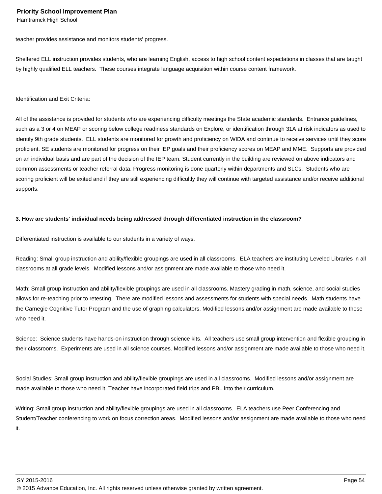teacher provides assistance and monitors students' progress.

Sheltered ELL instruction provides students, who are learning English, access to high school content expectations in classes that are taught by highly qualified ELL teachers. These courses integrate language acquisition within course content framework.

Identification and Exit Criteria:

All of the assistance is provided for students who are experiencing difficulty meetings the State academic standards. Entrance guidelines, such as a 3 or 4 on MEAP or scoring below college readiness standards on Explore, or identification through 31A at risk indicators as used to identify 9th grade students. ELL students are monitored for growth and proficiency on WIDA and continue to receive services until they score proficient. SE students are monitored for progress on their IEP goals and their proficiency scores on MEAP and MME. Supports are provided on an individual basis and are part of the decision of the IEP team. Student currently in the building are reviewed on above indicators and common assessments or teacher referral data. Progress monitoring is done quarterly within departments and SLCs. Students who are scoring proficient will be exited and if they are still experiencing difficultly they will continue with targeted assistance and/or receive additional supports.

#### **3. How are students' individual needs being addressed through differentiated instruction in the classroom?**

Differentiated instruction is available to our students in a variety of ways.

Reading: Small group instruction and ability/flexible groupings are used in all classrooms. ELA teachers are instituting Leveled Libraries in all classrooms at all grade levels. Modified lessons and/or assignment are made available to those who need it.

Math: Small group instruction and ability/flexible groupings are used in all classrooms. Mastery grading in math, science, and social studies allows for re-teaching prior to retesting. There are modified lessons and assessments for students with special needs. Math students have the Carnegie Cognitive Tutor Program and the use of graphing calculators. Modified lessons and/or assignment are made available to those who need it.

Science: Science students have hands-on instruction through science kits. All teachers use small group intervention and flexible grouping in their classrooms. Experiments are used in all science courses. Modified lessons and/or assignment are made available to those who need it.

Social Studies: Small group instruction and ability/flexible groupings are used in all classrooms. Modified lessons and/or assignment are made available to those who need it. Teacher have incorporated field trips and PBL into their curriculum.

Writing: Small group instruction and ability/flexible groupings are used in all classrooms. ELA teachers use Peer Conferencing and Student/Teacher conferencing to work on focus correction areas. Modified lessons and/or assignment are made available to those who need it.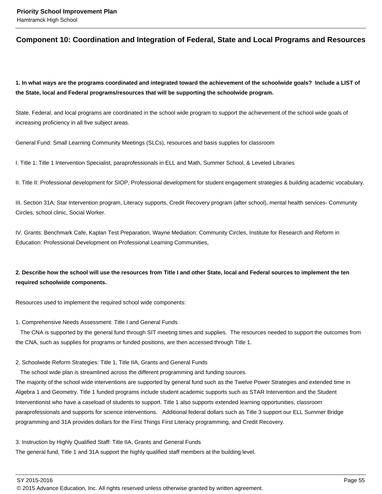## **Component 10: Coordination and Integration of Federal, State and Local Programs and Resources**

**1. In what ways are the programs coordinated and integrated toward the achievement of the schoolwide goals? Include a LIST of the State, local and Federal programs/resources that will be supporting the schoolwide program.**

State, Federal, and local programs are coordinated in the school wide program to support the achievement of the school wide goals of increasing proficiency in all five subject areas.

General Fund: Small Learning Community Meetings (SLCs), resources and basis supplies for classroom

I. Title 1: Title 1 Intervention Specialist, paraprofessionals in ELL and Math, Summer School, & Leveled Libraries

II. Title II: Professional development for SIOP, Professional development for student engagement strategies & building academic vocabulary.

III. Section 31A: Star Intervention program, Literacy supports, Credit Recovery program (after school), mental health services- Community Circles, school clinic, Social Worker.

IV. Grants: Benchmark Cafe, Kaplan Test Preparation, Wayne Mediation: Community Circles, Institute for Research and Reform in Education: Professional Development on Professional Learning Communities,

## **2. Describe how the school will use the resources from Title I and other State, local and Federal sources to implement the ten required schoolwide components.**

Resources used to implement the required school wide components:

1. Comprehensive Needs Assessment: Title I and General Funds

 The CNA is supported by the general fund through SIT meeting times and supplies. The resources needed to support the outcomes from the CNA, such as supplies for programs or funded positions, are then accessed through Title 1.

#### 2. Schoolwide Reform Strategies: Title 1, Title IIA, Grants and General Funds

The school wide plan is streamlined across the different programming and funding sources.

The majority of the school wide interventions are supported by general fund such as the Twelve Power Strategies and extended time in Algebra 1 and Geometry. Title 1 funded programs include student academic supports such as STAR Intervention and the Student Interventionist who have a caseload of students to support. Title 1 also supports extended learning opportunities, classroom paraprofessionals and supports for science interventions. Additional federal dollars such as Title 3 support our ELL Summer Bridge programming and 31A provides dollars for the First Things First Literacy programming, and Credit Recovery.

3. Instruction by Highly Qualified Staff: Title IIA, Grants and General Funds

The general fund, Title 1 and 31A support the highly qualified staff members at the building level.

<sup>© 2015</sup> Advance Education, Inc. All rights reserved unless otherwise granted by written agreement.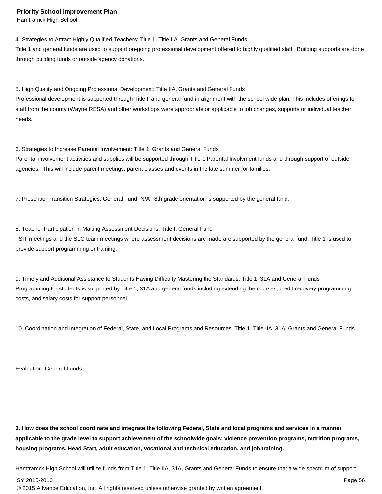4. Strategies to Attract Highly Qualified Teachers: Title 1, Title IIA, Grants and General Funds

Title 1 and general funds are used to support on-going professional development offered to highly qualified staff. Building supports are done through building funds or outside agency donations.

5. High Quality and Ongoing Professional Development: Title IIA, Grants and General Funds

Professional development is supported through Title II and general fund in alignment with the school wide plan. This includes offerings for staff from the county (Wayne RESA) and other workshops were appropriate or applicable to job changes, supports or individual teacher needs.

6. Strategies to Increase Parental Involvement: Title 1, Grants and General Funds

Parental involvement activities and supplies will be supported through Title 1 Parental Involvment funds and through support of outside agencies. This will include parent meetings, parent classes and events in the late summer for families.

7. Preschool Transition Strategies: General Fund N/A 8th grade orientation is supported by the general fund.

#### 8. Teacher Participation in Making Assessment Decisions: Title I, General Fund

 SIT meetings and the SLC team meetings where assessment decisions are made are supported by the general fund. Title 1 is used to provide support programming or training.

9. Timely and Additional Assistance to Students Having Difficulty Mastering the Standards: Title 1, 31A and General Funds Programming for students is supported by Title 1, 31A and general funds including extending the courses, credit recovery programming costs, and salary costs for support personnel.

10. Coordination and Integration of Federal, State, and Local Programs and Resources: Title 1, Title IIA, 31A, Grants and General Funds

Evaluation: General Funds

**3. How does the school coordinate and integrate the following Federal, State and local programs and services in a manner applicable to the grade level to support achievement of the schoolwide goals: violence prevention programs, nutrition programs, housing programs, Head Start, adult education, vocational and technical education, and job training.** 

Hamtramck High School will utilize funds from Title 1, Title IIA, 31A, Grants and General Funds to ensure that a wide spectrum of support

SY 2015-2016 Page 56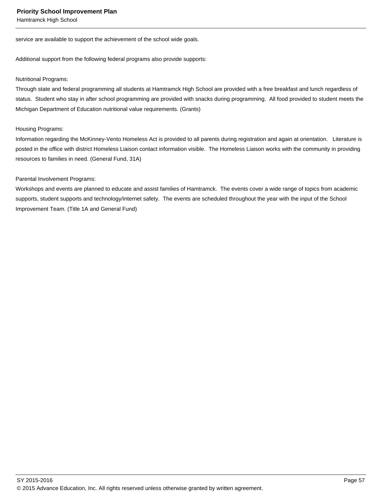service are available to support the achievement of the school wide goals.

Additional support from the following federal programs also provide supports:

#### Nutritional Programs:

Through state and federal programming all students at Hamtramck High School are provided with a free breakfast and lunch regardless of status. Student who stay in after school programming are provided with snacks during programming. All food provided to student meets the Michigan Department of Education nutritional value requirements. (Grants)

#### Housing Programs:

Information regarding the McKinney-Vento Homeless Act is provided to all parents during registration and again at orientation. Literature is posted in the office with district Homeless Liaison contact information visible. The Homeless Liaison works with the community in providing resources to families in need. (General Fund, 31A)

#### Parental Involvement Programs:

Workshops and events are planned to educate and assist families of Hamtramck. The events cover a wide range of topics from academic supports, student supports and technology/internet safety. The events are scheduled throughout the year with the input of the School Improvement Team. (Title 1A and General Fund)